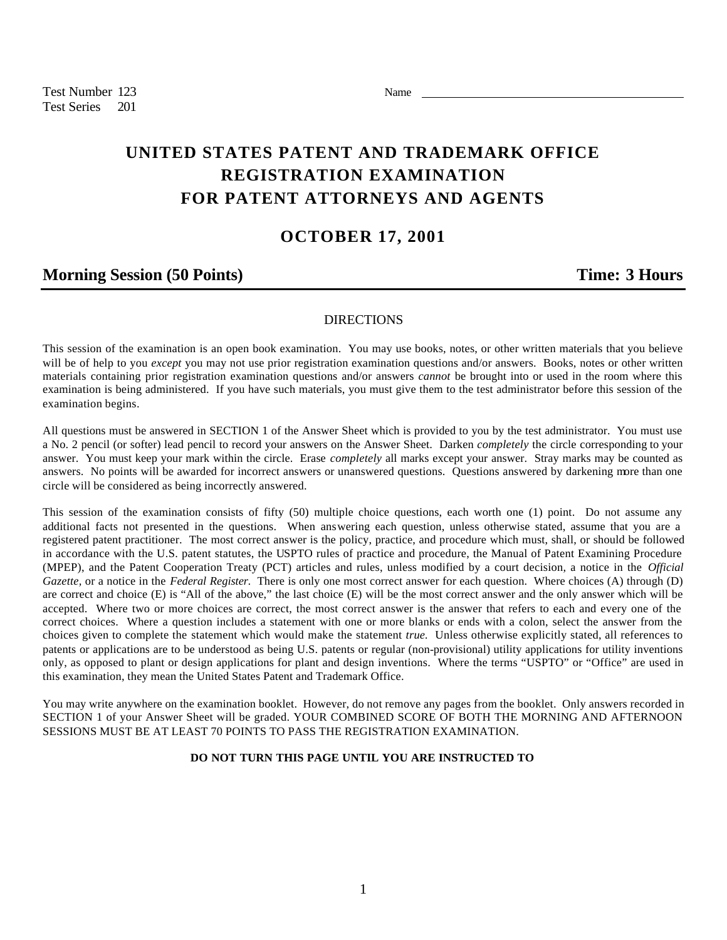Test Number 123 Name Test Series 201

# **UNITED STATES PATENT AND TRADEMARK OFFICE REGISTRATION EXAMINATION FOR PATENT ATTORNEYS AND AGENTS**

## **OCTOBER 17, 2001**

## **Morning Session (50 Points) Time: 3 Hours**

### DIRECTIONS

This session of the examination is an open book examination. You may use books, notes, or other written materials that you believe will be of help to you *except* you may not use prior registration examination questions and/or answers. Books, notes or other written materials containing prior registration examination questions and/or answers *cannot* be brought into or used in the room where this examination is being administered. If you have such materials, you must give them to the test administrator before this session of the examination begins.

All questions must be answered in SECTION 1 of the Answer Sheet which is provided to you by the test administrator. You must use a No. 2 pencil (or softer) lead pencil to record your answers on the Answer Sheet. Darken *completely* the circle corresponding to your answer. You must keep your mark within the circle. Erase *completely* all marks except your answer. Stray marks may be counted as answers. No points will be awarded for incorrect answers or unanswered questions. Questions answered by darkening more than one circle will be considered as being incorrectly answered.

This session of the examination consists of fifty (50) multiple choice questions, each worth one (1) point. Do not assume any additional facts not presented in the questions. When answering each question, unless otherwise stated, assume that you are a registered patent practitioner. The most correct answer is the policy, practice, and procedure which must, shall, or should be followed in accordance with the U.S. patent statutes, the USPTO rules of practice and procedure, the Manual of Patent Examining Procedure (MPEP), and the Patent Cooperation Treaty (PCT) articles and rules, unless modified by a court decision, a notice in the *Official Gazette,* or a notice in the *Federal Register.* There is only one most correct answer for each question. Where choices (A) through (D) are correct and choice (E) is "All of the above," the last choice (E) will be the most correct answer and the only answer which will be accepted. Where two or more choices are correct, the most correct answer is the answer that refers to each and every one of the correct choices. Where a question includes a statement with one or more blanks or ends with a colon, select the answer from the choices given to complete the statement which would make the statement *true.* Unless otherwise explicitly stated, all references to patents or applications are to be understood as being U.S. patents or regular (non-provisional) utility applications for utility inventions only, as opposed to plant or design applications for plant and design inventions. Where the terms "USPTO" or "Office" are used in this examination, they mean the United States Patent and Trademark Office.

You may write anywhere on the examination booklet. However, do not remove any pages from the booklet. Only answers recorded in SECTION 1 of your Answer Sheet will be graded. YOUR COMBINED SCORE OF BOTH THE MORNING AND AFTERNOON SESSIONS MUST BE AT LEAST 70 POINTS TO PASS THE REGISTRATION EXAMINATION.

#### **DO NOT TURN THIS PAGE UNTIL YOU ARE INSTRUCTED TO**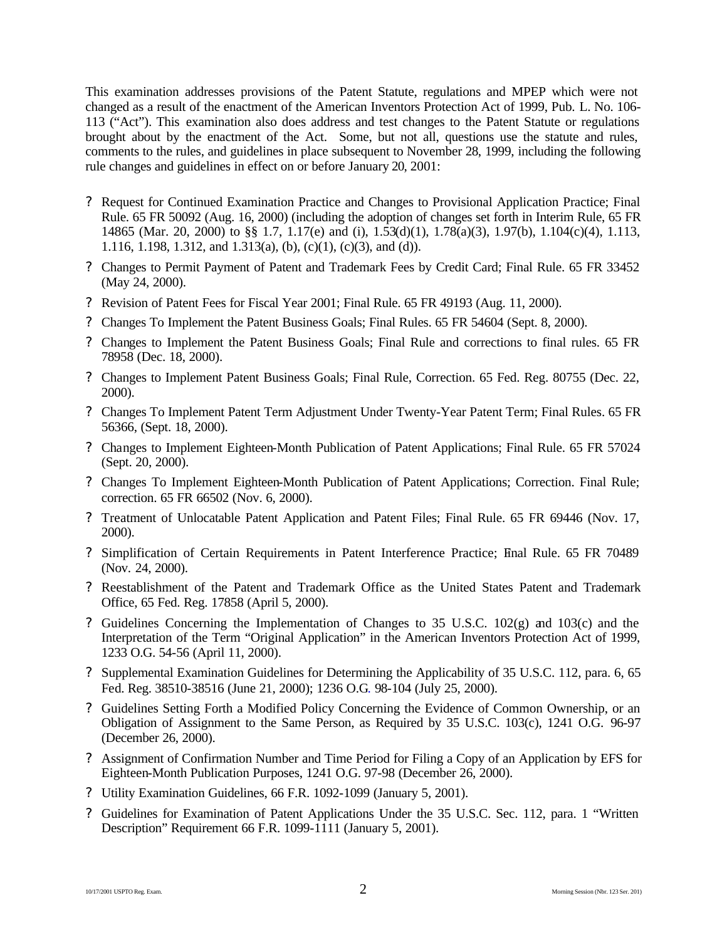This examination addresses provisions of the Patent Statute, regulations and MPEP which were not changed as a result of the enactment of the American Inventors Protection Act of 1999, Pub. L. No. 106- 113 ("Act"). This examination also does address and test changes to the Patent Statute or regulations brought about by the enactment of the Act. Some, but not all, questions use the statute and rules, comments to the rules, and guidelines in place subsequent to November 28, 1999, including the following rule changes and guidelines in effect on or before January 20, 2001:

- ? Request for Continued Examination Practice and Changes to Provisional Application Practice; Final Rule. 65 FR 50092 (Aug. 16, 2000) (including the adoption of changes set forth in Interim Rule, 65 FR 14865 (Mar. 20, 2000) to §§ 1.7, 1.17(e) and (i), 1.53(d)(1), 1.78(a)(3), 1.97(b), 1.104(c)(4), 1.113, 1.116, 1.198, 1.312, and 1.313(a), (b), (c)(1), (c)(3), and (d)).
- ? Changes to Permit Payment of Patent and Trademark Fees by Credit Card; Final Rule. 65 FR 33452 (May 24, 2000).
- ? Revision of Patent Fees for Fiscal Year 2001; Final Rule. 65 FR 49193 (Aug. 11, 2000).
- ? Changes To Implement the Patent Business Goals; Final Rules. 65 FR 54604 (Sept. 8, 2000).
- ? Changes to Implement the Patent Business Goals; Final Rule and corrections to final rules. 65 FR 78958 (Dec. 18, 2000).
- ? Changes to Implement Patent Business Goals; Final Rule, Correction. 65 Fed. Reg. 80755 (Dec. 22, 2000).
- ? Changes To Implement Patent Term Adjustment Under Twenty-Year Patent Term; Final Rules. 65 FR 56366, (Sept. 18, 2000).
- ? Changes to Implement Eighteen-Month Publication of Patent Applications; Final Rule. 65 FR 57024 (Sept. 20, 2000).
- ? Changes To Implement Eighteen-Month Publication of Patent Applications; Correction. Final Rule; correction. 65 FR 66502 (Nov. 6, 2000).
- ? Treatment of Unlocatable Patent Application and Patent Files; Final Rule. 65 FR 69446 (Nov. 17, 2000).
- ? Simplification of Certain Requirements in Patent Interference Practice; Final Rule. 65 FR 70489 (Nov. 24, 2000).
- ? Reestablishment of the Patent and Trademark Office as the United States Patent and Trademark Office, 65 Fed. Reg. 17858 (April 5, 2000).
- ? Guidelines Concerning the Implementation of Changes to 35 U.S.C. 102(g) and 103(c) and the Interpretation of the Term "Original Application" in the American Inventors Protection Act of 1999, 1233 O.G. 54-56 (April 11, 2000).
- ? Supplemental Examination Guidelines for Determining the Applicability of 35 U.S.C. 112, para. 6, 65 Fed. Reg. 38510-38516 (June 21, 2000); 1236 O.G. 98-104 (July 25, 2000).
- ? Guidelines Setting Forth a Modified Policy Concerning the Evidence of Common Ownership, or an Obligation of Assignment to the Same Person, as Required by 35 U.S.C. 103(c), 1241 O.G. 96-97 (December 26, 2000).
- ? Assignment of Confirmation Number and Time Period for Filing a Copy of an Application by EFS for Eighteen-Month Publication Purposes, 1241 O.G. 97-98 (December 26, 2000).
- ? Utility Examination Guidelines, 66 F.R. 1092-1099 (January 5, 2001).
- ? Guidelines for Examination of Patent Applications Under the 35 U.S.C. Sec. 112, para. 1 "Written Description" Requirement 66 F.R. 1099-1111 (January 5, 2001).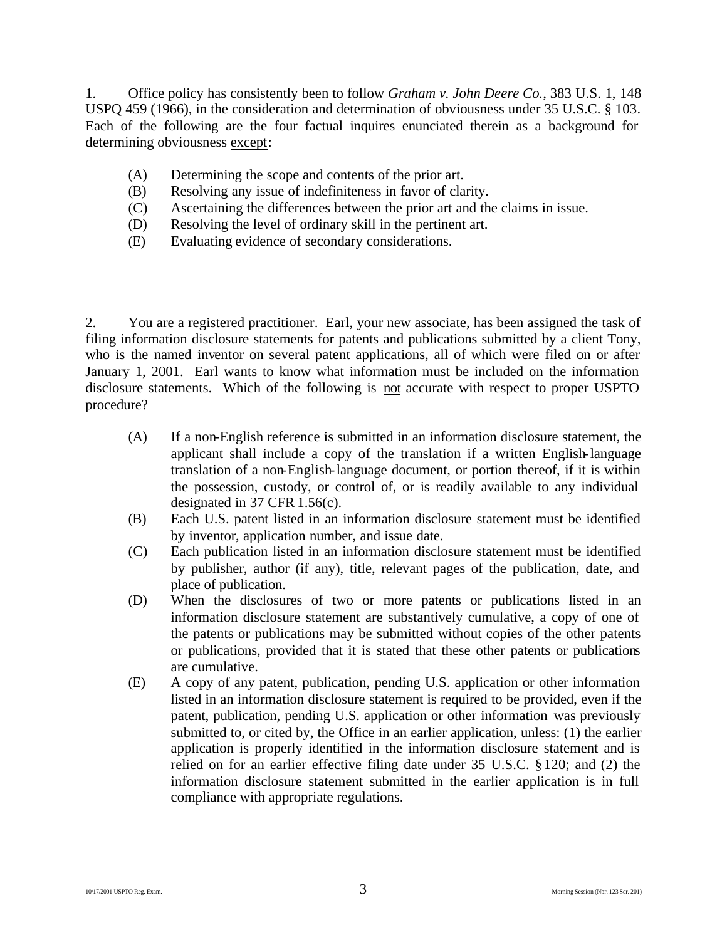1. Office policy has consistently been to follow *Graham v. John Deere Co.*, 383 U.S. 1, 148 USPQ 459 (1966), in the consideration and determination of obviousness under 35 U.S.C. § 103. Each of the following are the four factual inquires enunciated therein as a background for determining obviousness except:

- (A) Determining the scope and contents of the prior art.
- (B) Resolving any issue of indefiniteness in favor of clarity.
- (C) Ascertaining the differences between the prior art and the claims in issue.
- (D) Resolving the level of ordinary skill in the pertinent art.
- (E) Evaluating evidence of secondary considerations.

2. You are a registered practitioner. Earl, your new associate, has been assigned the task of filing information disclosure statements for patents and publications submitted by a client Tony, who is the named inventor on several patent applications, all of which were filed on or after January 1, 2001. Earl wants to know what information must be included on the information disclosure statements. Which of the following is not accurate with respect to proper USPTO procedure?

- (A) If a non-English reference is submitted in an information disclosure statement, the applicant shall include a copy of the translation if a written English-language translation of a non-English-language document, or portion thereof, if it is within the possession, custody, or control of, or is readily available to any individual designated in 37 CFR 1.56(c).
- (B) Each U.S. patent listed in an information disclosure statement must be identified by inventor, application number, and issue date.
- (C) Each publication listed in an information disclosure statement must be identified by publisher, author (if any), title, relevant pages of the publication, date, and place of publication.
- (D) When the disclosures of two or more patents or publications listed in an information disclosure statement are substantively cumulative, a copy of one of the patents or publications may be submitted without copies of the other patents or publications, provided that it is stated that these other patents or publications are cumulative.
- (E) A copy of any patent, publication, pending U.S. application or other information listed in an information disclosure statement is required to be provided, even if the patent, publication, pending U.S. application or other information was previously submitted to, or cited by, the Office in an earlier application, unless: (1) the earlier application is properly identified in the information disclosure statement and is relied on for an earlier effective filing date under 35 U.S.C. §120; and (2) the information disclosure statement submitted in the earlier application is in full compliance with appropriate regulations.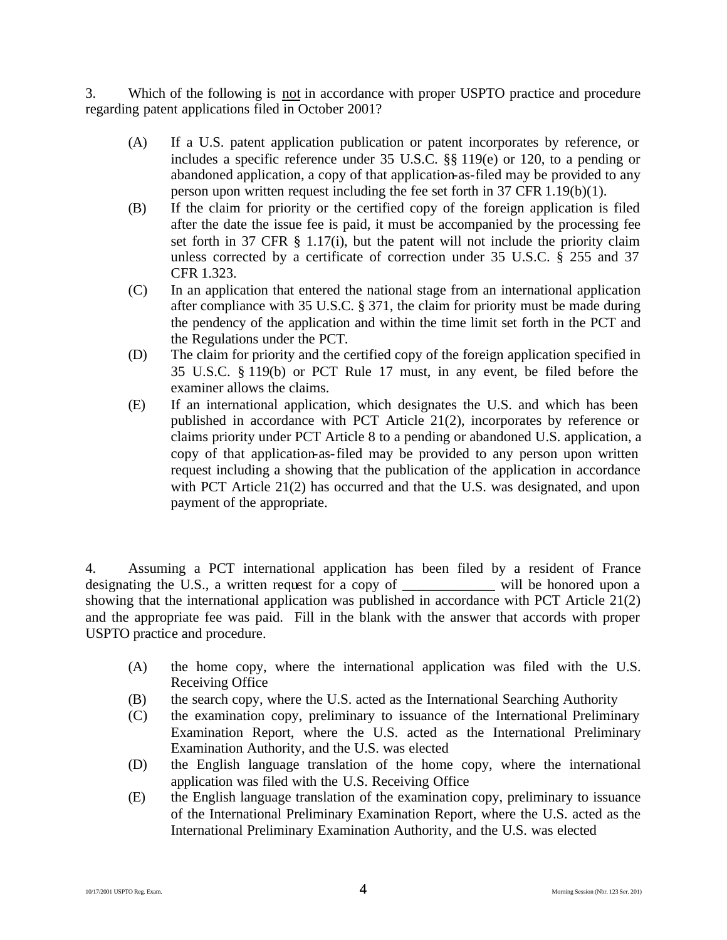3. Which of the following is not in accordance with proper USPTO practice and procedure regarding patent applications filed in October 2001?

- (A) If a U.S. patent application publication or patent incorporates by reference, or includes a specific reference under 35 U.S.C. §§ 119(e) or 120, to a pending or abandoned application, a copy of that application-as-filed may be provided to any person upon written request including the fee set forth in 37 CFR 1.19(b)(1).
- (B) If the claim for priority or the certified copy of the foreign application is filed after the date the issue fee is paid, it must be accompanied by the processing fee set forth in 37 CFR  $\S$  1.17(i), but the patent will not include the priority claim unless corrected by a certificate of correction under 35 U.S.C. § 255 and 37 CFR 1.323.
- (C) In an application that entered the national stage from an international application after compliance with 35 U.S.C. § 371, the claim for priority must be made during the pendency of the application and within the time limit set forth in the PCT and the Regulations under the PCT.
- (D) The claim for priority and the certified copy of the foreign application specified in 35 U.S.C. § 119(b) or PCT Rule 17 must, in any event, be filed before the examiner allows the claims.
- (E) If an international application, which designates the U.S. and which has been published in accordance with PCT Article 21(2), incorporates by reference or claims priority under PCT Article 8 to a pending or abandoned U.S. application, a copy of that application-as-filed may be provided to any person upon written request including a showing that the publication of the application in accordance with PCT Article 21(2) has occurred and that the U.S. was designated, and upon payment of the appropriate.

4. Assuming a PCT international application has been filed by a resident of France designating the U.S., a written request for a copy of will be honored upon a showing that the international application was published in accordance with PCT Article 21(2) and the appropriate fee was paid. Fill in the blank with the answer that accords with proper USPTO practice and procedure.

- (A) the home copy, where the international application was filed with the U.S. Receiving Office
- (B) the search copy, where the U.S. acted as the International Searching Authority
- (C) the examination copy, preliminary to issuance of the International Preliminary Examination Report, where the U.S. acted as the International Preliminary Examination Authority, and the U.S. was elected
- (D) the English language translation of the home copy, where the international application was filed with the U.S. Receiving Office
- (E) the English language translation of the examination copy, preliminary to issuance of the International Preliminary Examination Report, where the U.S. acted as the International Preliminary Examination Authority, and the U.S. was elected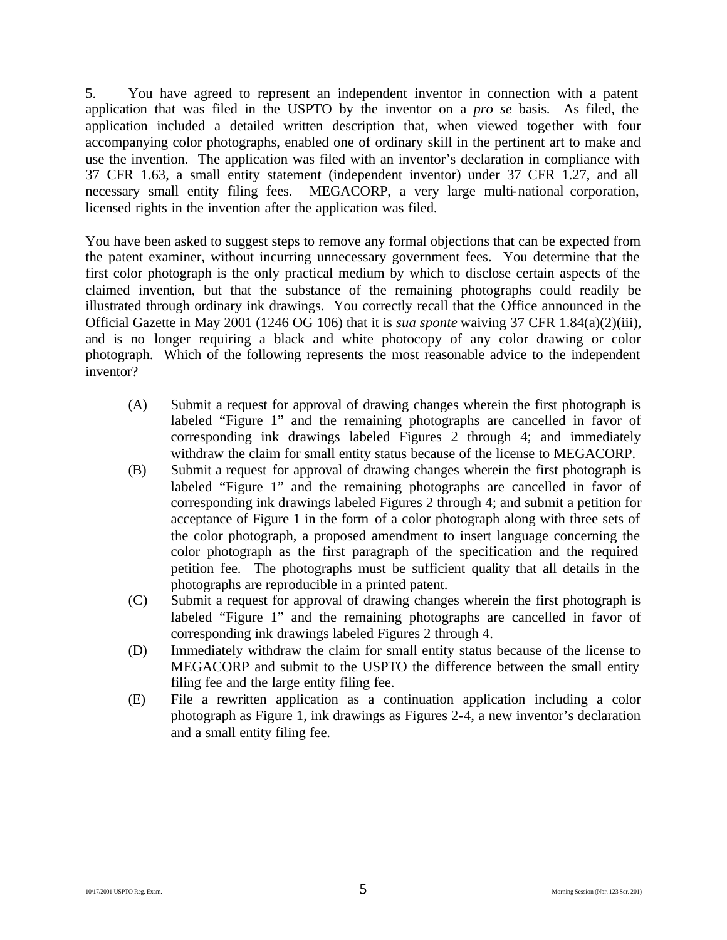5. You have agreed to represent an independent inventor in connection with a patent application that was filed in the USPTO by the inventor on a *pro se* basis. As filed, the application included a detailed written description that, when viewed together with four accompanying color photographs, enabled one of ordinary skill in the pertinent art to make and use the invention. The application was filed with an inventor's declaration in compliance with 37 CFR 1.63, a small entity statement (independent inventor) under 37 CFR 1.27, and all necessary small entity filing fees. MEGACORP, a very large multi-national corporation, licensed rights in the invention after the application was filed.

You have been asked to suggest steps to remove any formal objections that can be expected from the patent examiner, without incurring unnecessary government fees. You determine that the first color photograph is the only practical medium by which to disclose certain aspects of the claimed invention, but that the substance of the remaining photographs could readily be illustrated through ordinary ink drawings. You correctly recall that the Office announced in the Official Gazette in May 2001 (1246 OG 106) that it is *sua sponte* waiving 37 CFR 1.84(a)(2)(iii), and is no longer requiring a black and white photocopy of any color drawing or color photograph. Which of the following represents the most reasonable advice to the independent inventor?

- (A) Submit a request for approval of drawing changes wherein the first photograph is labeled "Figure 1" and the remaining photographs are cancelled in favor of corresponding ink drawings labeled Figures 2 through 4; and immediately withdraw the claim for small entity status because of the license to MEGACORP.
- (B) Submit a request for approval of drawing changes wherein the first photograph is labeled "Figure 1" and the remaining photographs are cancelled in favor of corresponding ink drawings labeled Figures 2 through 4; and submit a petition for acceptance of Figure 1 in the form of a color photograph along with three sets of the color photograph, a proposed amendment to insert language concerning the color photograph as the first paragraph of the specification and the required petition fee. The photographs must be sufficient quality that all details in the photographs are reproducible in a printed patent.
- (C) Submit a request for approval of drawing changes wherein the first photograph is labeled "Figure 1" and the remaining photographs are cancelled in favor of corresponding ink drawings labeled Figures 2 through 4.
- (D) Immediately withdraw the claim for small entity status because of the license to MEGACORP and submit to the USPTO the difference between the small entity filing fee and the large entity filing fee.
- (E) File a rewritten application as a continuation application including a color photograph as Figure 1, ink drawings as Figures 2-4, a new inventor's declaration and a small entity filing fee.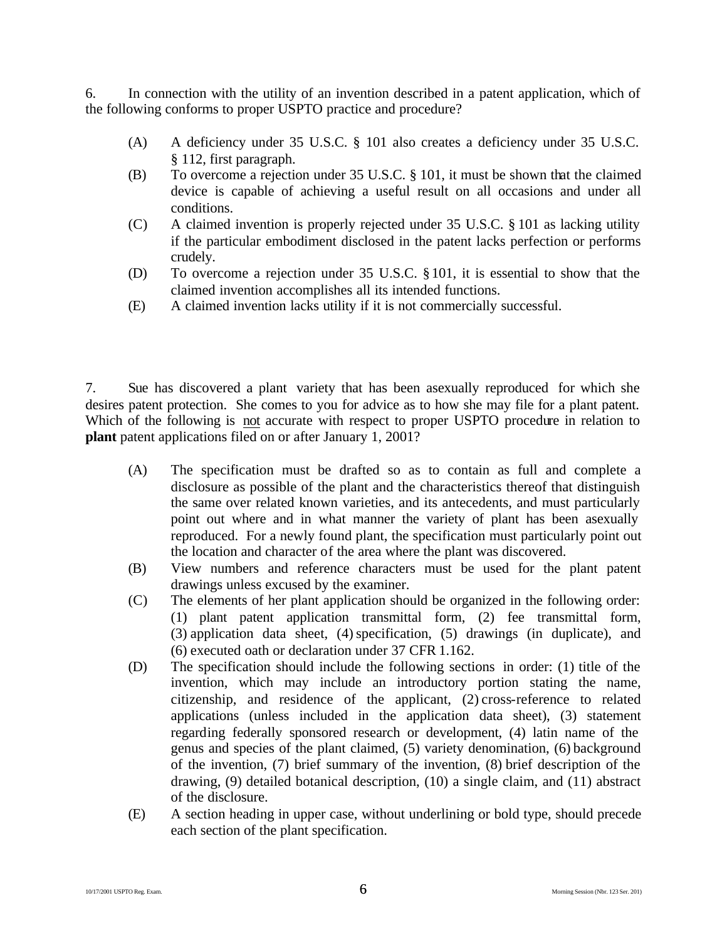6. In connection with the utility of an invention described in a patent application, which of the following conforms to proper USPTO practice and procedure?

- (A) A deficiency under 35 U.S.C. § 101 also creates a deficiency under 35 U.S.C. § 112, first paragraph.
- (B) To overcome a rejection under 35 U.S.C. § 101, it must be shown that the claimed device is capable of achieving a useful result on all occasions and under all conditions.
- (C) A claimed invention is properly rejected under 35 U.S.C. § 101 as lacking utility if the particular embodiment disclosed in the patent lacks perfection or performs crudely.
- (D) To overcome a rejection under 35 U.S.C. § 101, it is essential to show that the claimed invention accomplishes all its intended functions.
- (E) A claimed invention lacks utility if it is not commercially successful.

7. Sue has discovered a plant variety that has been asexually reproduced for which she desires patent protection. She comes to you for advice as to how she may file for a plant patent. Which of the following is not accurate with respect to proper USPTO procedure in relation to **plant** patent applications filed on or after January 1, 2001?

- (A) The specification must be drafted so as to contain as full and complete a disclosure as possible of the plant and the characteristics thereof that distinguish the same over related known varieties, and its antecedents, and must particularly point out where and in what manner the variety of plant has been asexually reproduced. For a newly found plant, the specification must particularly point out the location and character of the area where the plant was discovered.
- (B) View numbers and reference characters must be used for the plant patent drawings unless excused by the examiner.
- (C) The elements of her plant application should be organized in the following order: (1) plant patent application transmittal form, (2) fee transmittal form, (3) application data sheet, (4)specification, (5) drawings (in duplicate), and (6) executed oath or declaration under 37 CFR 1.162.
- (D) The specification should include the following sections in order: (1) title of the invention, which may include an introductory portion stating the name, citizenship, and residence of the applicant, (2) cross-reference to related applications (unless included in the application data sheet), (3) statement regarding federally sponsored research or development, (4) latin name of the genus and species of the plant claimed, (5) variety denomination, (6) background of the invention, (7) brief summary of the invention, (8) brief description of the drawing, (9) detailed botanical description, (10) a single claim, and (11) abstract of the disclosure.
- (E) A section heading in upper case, without underlining or bold type, should precede each section of the plant specification.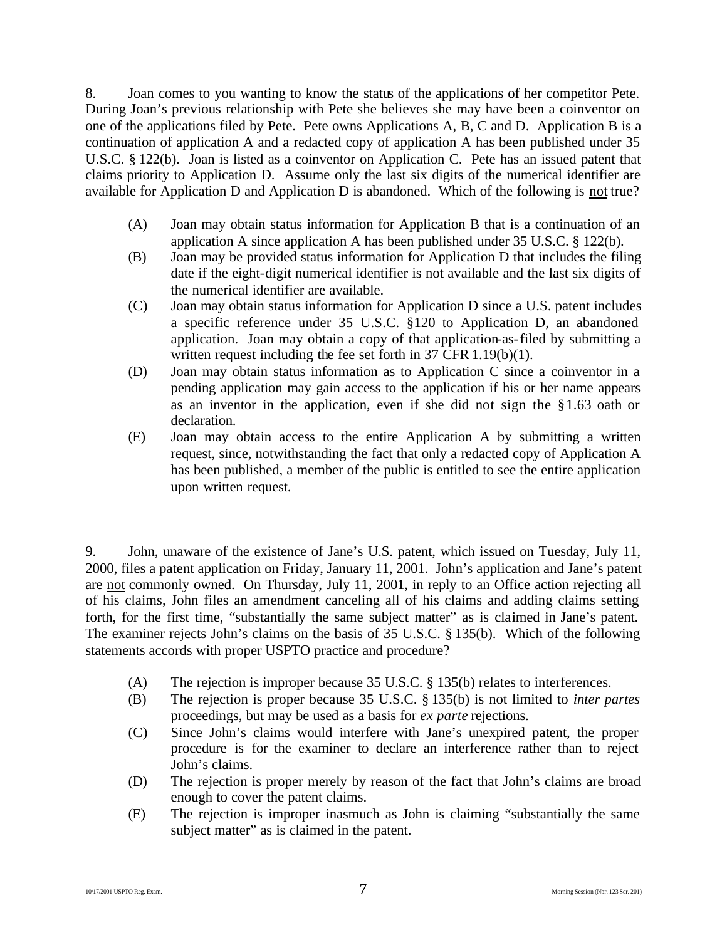8. Joan comes to you wanting to know the status of the applications of her competitor Pete. During Joan's previous relationship with Pete she believes she may have been a coinventor on one of the applications filed by Pete. Pete owns Applications A, B, C and D. Application B is a continuation of application A and a redacted copy of application A has been published under 35 U.S.C. § 122(b). Joan is listed as a coinventor on Application C. Pete has an issued patent that claims priority to Application D. Assume only the last six digits of the numerical identifier are available for Application D and Application D is abandoned. Which of the following is not true?

- (A) Joan may obtain status information for Application B that is a continuation of an application A since application A has been published under 35 U.S.C. § 122(b).
- (B) Joan may be provided status information for Application D that includes the filing date if the eight-digit numerical identifier is not available and the last six digits of the numerical identifier are available.
- (C) Joan may obtain status information for Application D since a U.S. patent includes a specific reference under 35 U.S.C. §120 to Application D, an abandoned application. Joan may obtain a copy of that application-as-filed by submitting a written request including the fee set forth in 37 CFR 1.19(b)(1).
- (D) Joan may obtain status information as to Application C since a coinventor in a pending application may gain access to the application if his or her name appears as an inventor in the application, even if she did not sign the §1.63 oath or declaration.
- (E) Joan may obtain access to the entire Application A by submitting a written request, since, notwithstanding the fact that only a redacted copy of Application A has been published, a member of the public is entitled to see the entire application upon written request.

9. John, unaware of the existence of Jane's U.S. patent, which issued on Tuesday, July 11, 2000, files a patent application on Friday, January 11, 2001. John's application and Jane's patent are not commonly owned. On Thursday, July 11, 2001, in reply to an Office action rejecting all of his claims, John files an amendment canceling all of his claims and adding claims setting forth, for the first time, "substantially the same subject matter" as is claimed in Jane's patent. The examiner rejects John's claims on the basis of 35 U.S.C. § 135(b). Which of the following statements accords with proper USPTO practice and procedure?

- (A) The rejection is improper because 35 U.S.C. § 135(b) relates to interferences.
- (B) The rejection is proper because 35 U.S.C. § 135(b) is not limited to *inter partes* proceedings, but may be used as a basis for *ex parte* rejections.
- (C) Since John's claims would interfere with Jane's unexpired patent, the proper procedure is for the examiner to declare an interference rather than to reject John's claims.
- (D) The rejection is proper merely by reason of the fact that John's claims are broad enough to cover the patent claims.
- (E) The rejection is improper inasmuch as John is claiming "substantially the same subject matter" as is claimed in the patent.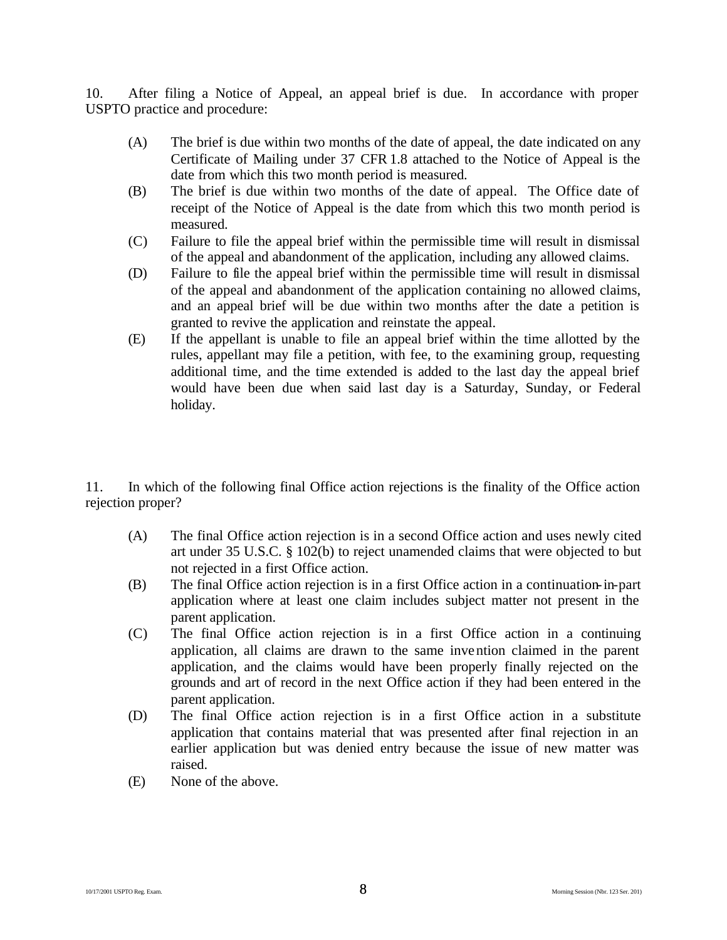10. After filing a Notice of Appeal, an appeal brief is due. In accordance with proper USPTO practice and procedure:

- (A) The brief is due within two months of the date of appeal, the date indicated on any Certificate of Mailing under 37 CFR 1.8 attached to the Notice of Appeal is the date from which this two month period is measured.
- (B) The brief is due within two months of the date of appeal. The Office date of receipt of the Notice of Appeal is the date from which this two month period is measured.
- (C) Failure to file the appeal brief within the permissible time will result in dismissal of the appeal and abandonment of the application, including any allowed claims.
- (D) Failure to file the appeal brief within the permissible time will result in dismissal of the appeal and abandonment of the application containing no allowed claims, and an appeal brief will be due within two months after the date a petition is granted to revive the application and reinstate the appeal.
- (E) If the appellant is unable to file an appeal brief within the time allotted by the rules, appellant may file a petition, with fee, to the examining group, requesting additional time, and the time extended is added to the last day the appeal brief would have been due when said last day is a Saturday, Sunday, or Federal holiday.

11. In which of the following final Office action rejections is the finality of the Office action rejection proper?

- (A) The final Office action rejection is in a second Office action and uses newly cited art under 35 U.S.C. § 102(b) to reject unamended claims that were objected to but not rejected in a first Office action.
- (B) The final Office action rejection is in a first Office action in a continuation-in-part application where at least one claim includes subject matter not present in the parent application.
- (C) The final Office action rejection is in a first Office action in a continuing application, all claims are drawn to the same invention claimed in the parent application, and the claims would have been properly finally rejected on the grounds and art of record in the next Office action if they had been entered in the parent application.
- (D) The final Office action rejection is in a first Office action in a substitute application that contains material that was presented after final rejection in an earlier application but was denied entry because the issue of new matter was raised.
- (E) None of the above.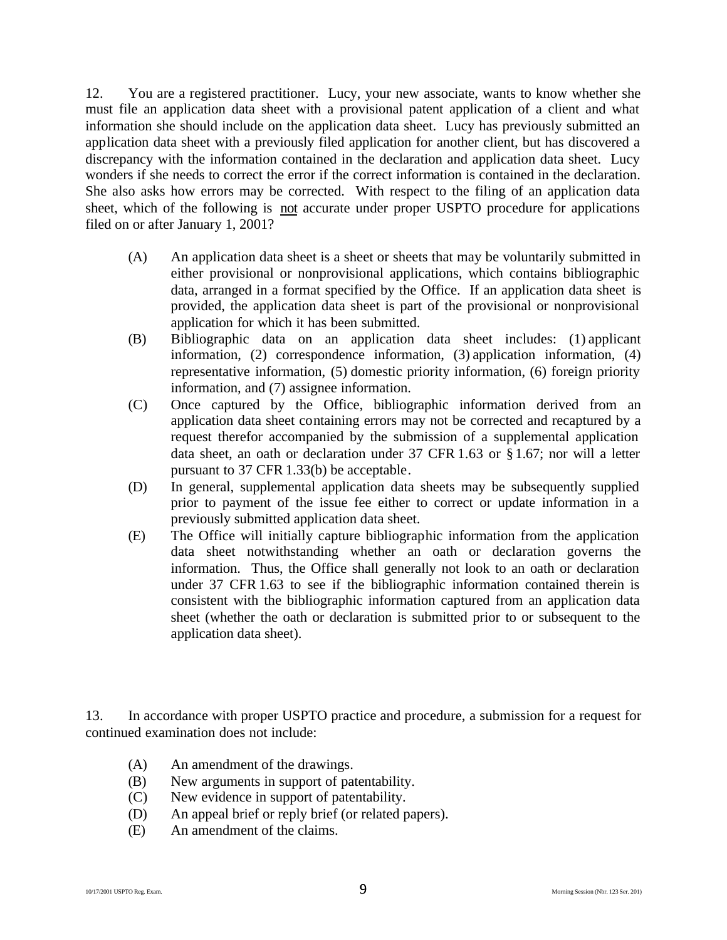12. You are a registered practitioner. Lucy, your new associate, wants to know whether she must file an application data sheet with a provisional patent application of a client and what information she should include on the application data sheet. Lucy has previously submitted an application data sheet with a previously filed application for another client, but has discovered a discrepancy with the information contained in the declaration and application data sheet. Lucy wonders if she needs to correct the error if the correct information is contained in the declaration. She also asks how errors may be corrected. With respect to the filing of an application data sheet, which of the following is not accurate under proper USPTO procedure for applications filed on or after January 1, 2001?

- (A) An application data sheet is a sheet or sheets that may be voluntarily submitted in either provisional or nonprovisional applications, which contains bibliographic data, arranged in a format specified by the Office. If an application data sheet is provided, the application data sheet is part of the provisional or nonprovisional application for which it has been submitted.
- (B) Bibliographic data on an application data sheet includes: (1) applicant information, (2) correspondence information, (3) application information, (4) representative information, (5) domestic priority information, (6) foreign priority information, and (7) assignee information.
- (C) Once captured by the Office, bibliographic information derived from an application data sheet containing errors may not be corrected and recaptured by a request therefor accompanied by the submission of a supplemental application data sheet, an oath or declaration under 37 CFR 1.63 or § 1.67; nor will a letter pursuant to 37 CFR 1.33(b) be acceptable.
- (D) In general, supplemental application data sheets may be subsequently supplied prior to payment of the issue fee either to correct or update information in a previously submitted application data sheet.
- (E) The Office will initially capture bibliographic information from the application data sheet notwithstanding whether an oath or declaration governs the information. Thus, the Office shall generally not look to an oath or declaration under 37 CFR 1.63 to see if the bibliographic information contained therein is consistent with the bibliographic information captured from an application data sheet (whether the oath or declaration is submitted prior to or subsequent to the application data sheet).

13. In accordance with proper USPTO practice and procedure, a submission for a request for continued examination does not include:

- (A) An amendment of the drawings.
- (B) New arguments in support of patentability.
- (C) New evidence in support of patentability.
- (D) An appeal brief or reply brief (or related papers).
- (E) An amendment of the claims.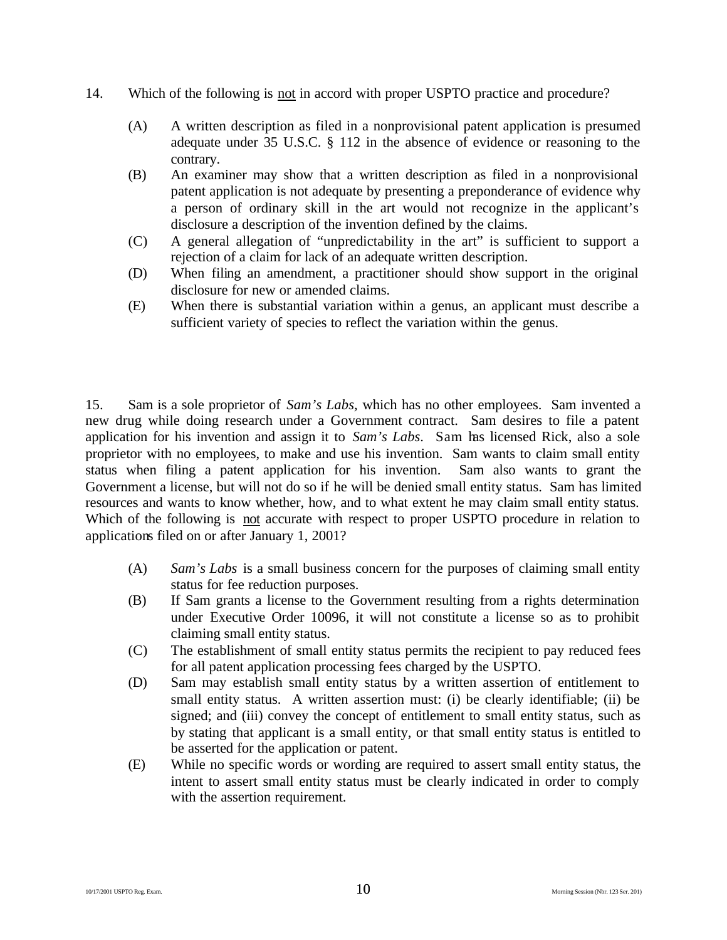- 14. Which of the following is not in accord with proper USPTO practice and procedure?
	- (A) A written description as filed in a nonprovisional patent application is presumed adequate under 35 U.S.C. § 112 in the absence of evidence or reasoning to the contrary.
	- (B) An examiner may show that a written description as filed in a nonprovisional patent application is not adequate by presenting a preponderance of evidence why a person of ordinary skill in the art would not recognize in the applicant's disclosure a description of the invention defined by the claims.
	- (C) A general allegation of "unpredictability in the art" is sufficient to support a rejection of a claim for lack of an adequate written description.
	- (D) When filing an amendment, a practitioner should show support in the original disclosure for new or amended claims.
	- (E) When there is substantial variation within a genus, an applicant must describe a sufficient variety of species to reflect the variation within the genus.

15. Sam is a sole proprietor of *Sam's Labs,* which has no other employees. Sam invented a new drug while doing research under a Government contract. Sam desires to file a patent application for his invention and assign it to *Sam's Labs*. Sam has licensed Rick, also a sole proprietor with no employees, to make and use his invention. Sam wants to claim small entity status when filing a patent application for his invention. Sam also wants to grant the Government a license, but will not do so if he will be denied small entity status. Sam has limited resources and wants to know whether, how, and to what extent he may claim small entity status. Which of the following is not accurate with respect to proper USPTO procedure in relation to applications filed on or after January 1, 2001?

- (A) *Sam's Labs* is a small business concern for the purposes of claiming small entity status for fee reduction purposes.
- (B) If Sam grants a license to the Government resulting from a rights determination under Executive Order 10096, it will not constitute a license so as to prohibit claiming small entity status.
- (C) The establishment of small entity status permits the recipient to pay reduced fees for all patent application processing fees charged by the USPTO.
- (D) Sam may establish small entity status by a written assertion of entitlement to small entity status. A written assertion must: (i) be clearly identifiable; (ii) be signed; and (iii) convey the concept of entitlement to small entity status, such as by stating that applicant is a small entity, or that small entity status is entitled to be asserted for the application or patent.
- (E) While no specific words or wording are required to assert small entity status, the intent to assert small entity status must be clearly indicated in order to comply with the assertion requirement.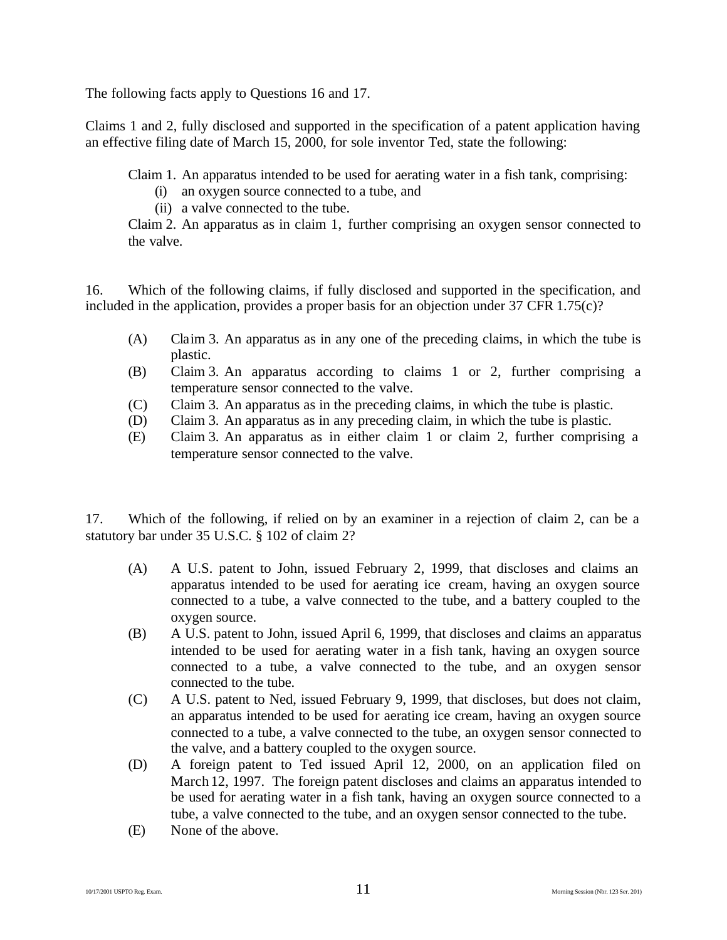The following facts apply to Questions 16 and 17.

Claims 1 and 2, fully disclosed and supported in the specification of a patent application having an effective filing date of March 15, 2000, for sole inventor Ted, state the following:

Claim 1. An apparatus intended to be used for aerating water in a fish tank, comprising:

- (i) an oxygen source connected to a tube, and
- (ii) a valve connected to the tube.

Claim 2. An apparatus as in claim 1, further comprising an oxygen sensor connected to the valve.

16. Which of the following claims, if fully disclosed and supported in the specification, and included in the application, provides a proper basis for an objection under 37 CFR 1.75(c)?

- (A) Claim 3. An apparatus as in any one of the preceding claims, in which the tube is plastic.
- (B) Claim 3. An apparatus according to claims 1 or 2, further comprising a temperature sensor connected to the valve.
- (C) Claim 3. An apparatus as in the preceding claims, in which the tube is plastic.
- (D) Claim 3. An apparatus as in any preceding claim, in which the tube is plastic.
- (E) Claim 3. An apparatus as in either claim 1 or claim 2, further comprising a temperature sensor connected to the valve.

17. Which of the following, if relied on by an examiner in a rejection of claim 2, can be a statutory bar under 35 U.S.C. § 102 of claim 2?

- (A) A U.S. patent to John, issued February 2, 1999, that discloses and claims an apparatus intended to be used for aerating ice cream, having an oxygen source connected to a tube, a valve connected to the tube, and a battery coupled to the oxygen source.
- (B) A U.S. patent to John, issued April 6, 1999, that discloses and claims an apparatus intended to be used for aerating water in a fish tank, having an oxygen source connected to a tube, a valve connected to the tube, and an oxygen sensor connected to the tube.
- (C) A U.S. patent to Ned, issued February 9, 1999, that discloses, but does not claim, an apparatus intended to be used for aerating ice cream, having an oxygen source connected to a tube, a valve connected to the tube, an oxygen sensor connected to the valve, and a battery coupled to the oxygen source.
- (D) A foreign patent to Ted issued April 12, 2000, on an application filed on March 12, 1997. The foreign patent discloses and claims an apparatus intended to be used for aerating water in a fish tank, having an oxygen source connected to a tube, a valve connected to the tube, and an oxygen sensor connected to the tube.
- (E) None of the above.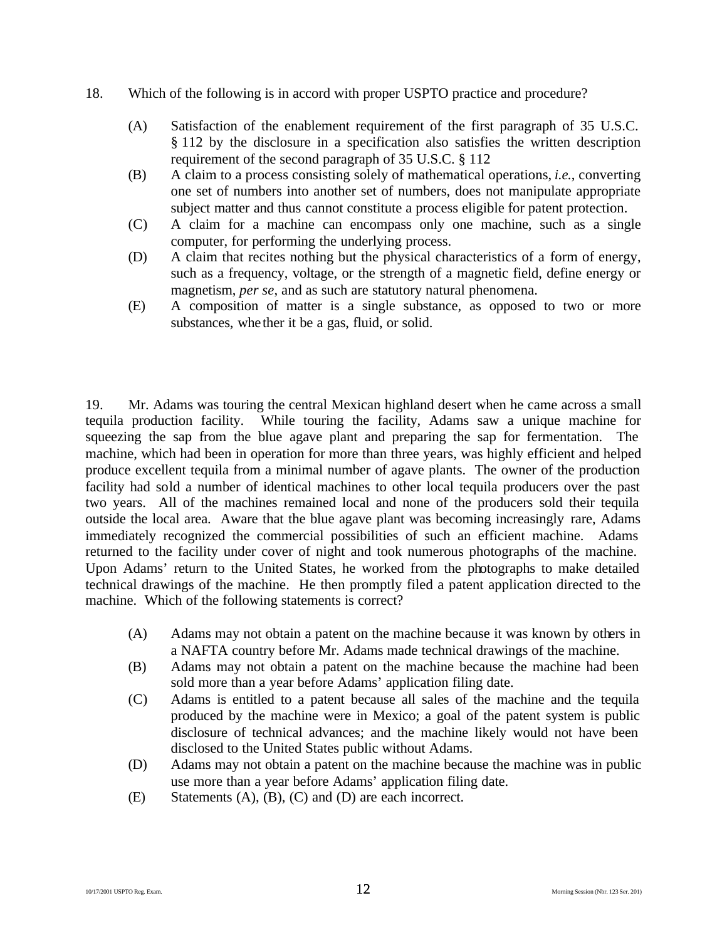- 18. Which of the following is in accord with proper USPTO practice and procedure?
	- (A) Satisfaction of the enablement requirement of the first paragraph of 35 U.S.C. § 112 by the disclosure in a specification also satisfies the written description requirement of the second paragraph of 35 U.S.C. § 112
	- (B) A claim to a process consisting solely of mathematical operations, *i.e.*, converting one set of numbers into another set of numbers, does not manipulate appropriate subject matter and thus cannot constitute a process eligible for patent protection.
	- (C) A claim for a machine can encompass only one machine, such as a single computer, for performing the underlying process.
	- (D) A claim that recites nothing but the physical characteristics of a form of energy, such as a frequency, voltage, or the strength of a magnetic field, define energy or magnetism, *per se*, and as such are statutory natural phenomena.
	- (E) A composition of matter is a single substance, as opposed to two or more substances, whe ther it be a gas, fluid, or solid.

19. Mr. Adams was touring the central Mexican highland desert when he came across a small tequila production facility. While touring the facility, Adams saw a unique machine for squeezing the sap from the blue agave plant and preparing the sap for fermentation. The machine, which had been in operation for more than three years, was highly efficient and helped produce excellent tequila from a minimal number of agave plants. The owner of the production facility had sold a number of identical machines to other local tequila producers over the past two years. All of the machines remained local and none of the producers sold their tequila outside the local area. Aware that the blue agave plant was becoming increasingly rare, Adams immediately recognized the commercial possibilities of such an efficient machine. Adams returned to the facility under cover of night and took numerous photographs of the machine. Upon Adams' return to the United States, he worked from the photographs to make detailed technical drawings of the machine. He then promptly filed a patent application directed to the machine. Which of the following statements is correct?

- (A) Adams may not obtain a patent on the machine because it was known by others in a NAFTA country before Mr. Adams made technical drawings of the machine.
- (B) Adams may not obtain a patent on the machine because the machine had been sold more than a year before Adams' application filing date.
- (C) Adams is entitled to a patent because all sales of the machine and the tequila produced by the machine were in Mexico; a goal of the patent system is public disclosure of technical advances; and the machine likely would not have been disclosed to the United States public without Adams.
- (D) Adams may not obtain a patent on the machine because the machine was in public use more than a year before Adams' application filing date.
- (E) Statements (A), (B), (C) and (D) are each incorrect.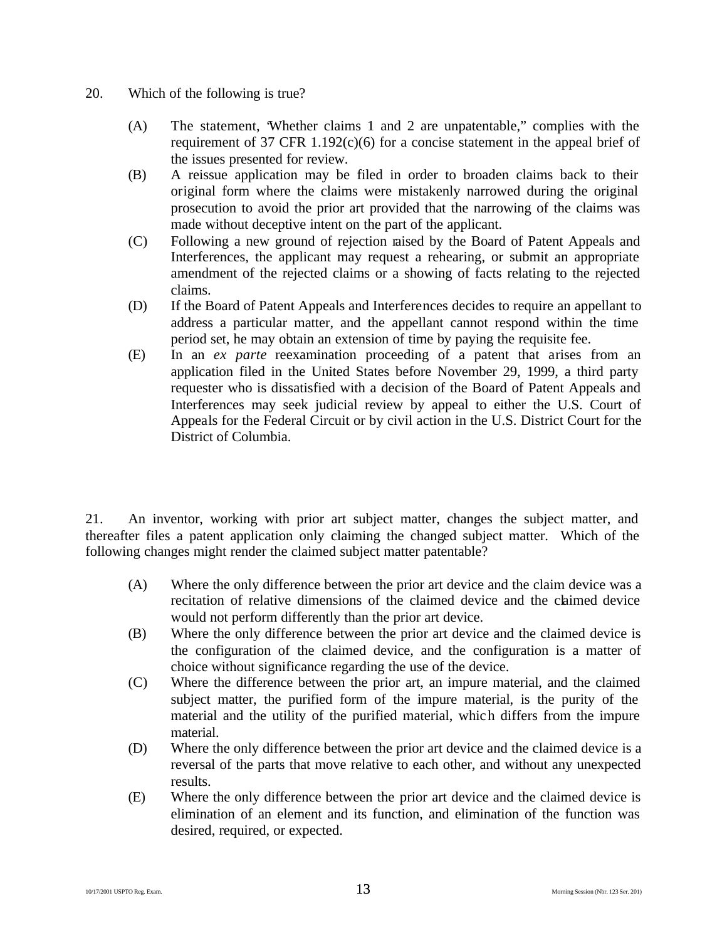- 20. Which of the following is true?
	- (A) The statement, "Whether claims 1 and 2 are unpatentable," complies with the requirement of 37 CFR 1.192 $(c)(6)$  for a concise statement in the appeal brief of the issues presented for review.
	- (B) A reissue application may be filed in order to broaden claims back to their original form where the claims were mistakenly narrowed during the original prosecution to avoid the prior art provided that the narrowing of the claims was made without deceptive intent on the part of the applicant.
	- (C) Following a new ground of rejection raised by the Board of Patent Appeals and Interferences, the applicant may request a rehearing, or submit an appropriate amendment of the rejected claims or a showing of facts relating to the rejected claims.
	- (D) If the Board of Patent Appeals and Interferences decides to require an appellant to address a particular matter, and the appellant cannot respond within the time period set, he may obtain an extension of time by paying the requisite fee.
	- (E) In an *ex parte* reexamination proceeding of a patent that arises from an application filed in the United States before November 29, 1999, a third party requester who is dissatisfied with a decision of the Board of Patent Appeals and Interferences may seek judicial review by appeal to either the U.S. Court of Appeals for the Federal Circuit or by civil action in the U.S. District Court for the District of Columbia.

21. An inventor, working with prior art subject matter, changes the subject matter, and thereafter files a patent application only claiming the changed subject matter. Which of the following changes might render the claimed subject matter patentable?

- (A) Where the only difference between the prior art device and the claim device was a recitation of relative dimensions of the claimed device and the claimed device would not perform differently than the prior art device.
- (B) Where the only difference between the prior art device and the claimed device is the configuration of the claimed device, and the configuration is a matter of choice without significance regarding the use of the device.
- (C) Where the difference between the prior art, an impure material, and the claimed subject matter, the purified form of the impure material, is the purity of the material and the utility of the purified material, which differs from the impure material.
- (D) Where the only difference between the prior art device and the claimed device is a reversal of the parts that move relative to each other, and without any unexpected results.
- (E) Where the only difference between the prior art device and the claimed device is elimination of an element and its function, and elimination of the function was desired, required, or expected.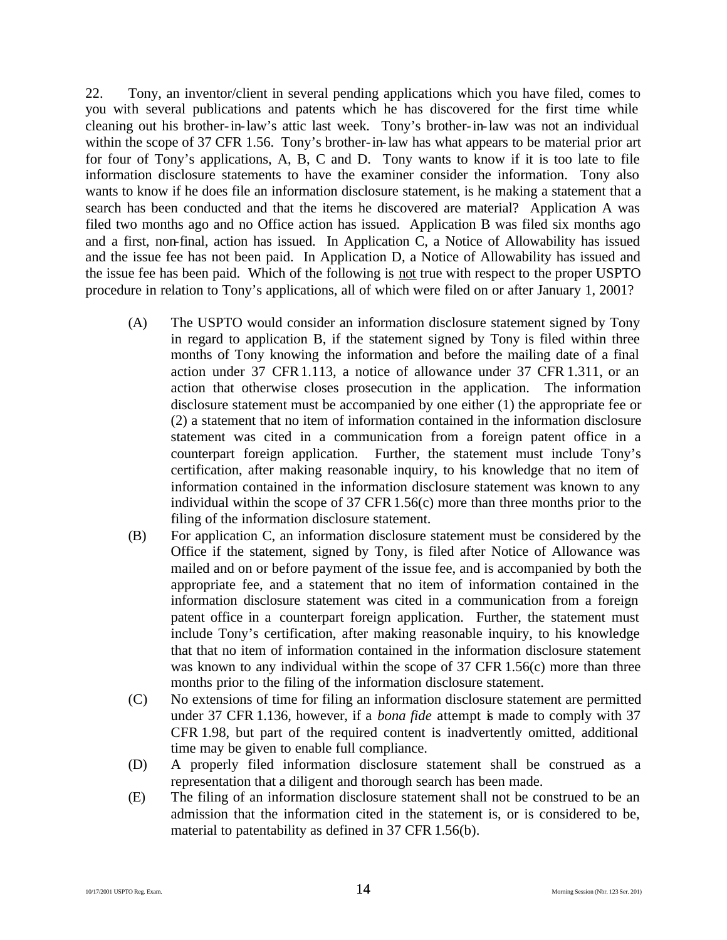22. Tony, an inventor/client in several pending applications which you have filed, comes to you with several publications and patents which he has discovered for the first time while cleaning out his brother-in-law's attic last week. Tony's brother-in-law was not an individual within the scope of 37 CFR 1.56. Tony's brother-in-law has what appears to be material prior art for four of Tony's applications, A, B, C and D. Tony wants to know if it is too late to file information disclosure statements to have the examiner consider the information. Tony also wants to know if he does file an information disclosure statement, is he making a statement that a search has been conducted and that the items he discovered are material? Application A was filed two months ago and no Office action has issued. Application B was filed six months ago and a first, non-final, action has issued. In Application C, a Notice of Allowability has issued and the issue fee has not been paid. In Application D, a Notice of Allowability has issued and the issue fee has been paid. Which of the following is not true with respect to the proper USPTO procedure in relation to Tony's applications, all of which were filed on or after January 1, 2001?

- (A) The USPTO would consider an information disclosure statement signed by Tony in regard to application B, if the statement signed by Tony is filed within three months of Tony knowing the information and before the mailing date of a final action under 37 CFR1.113, a notice of allowance under 37 CFR 1.311, or an action that otherwise closes prosecution in the application. The information disclosure statement must be accompanied by one either (1) the appropriate fee or (2) a statement that no item of information contained in the information disclosure statement was cited in a communication from a foreign patent office in a counterpart foreign application. Further, the statement must include Tony's certification, after making reasonable inquiry, to his knowledge that no item of information contained in the information disclosure statement was known to any individual within the scope of 37 CFR1.56(c) more than three months prior to the filing of the information disclosure statement.
- (B) For application C, an information disclosure statement must be considered by the Office if the statement, signed by Tony, is filed after Notice of Allowance was mailed and on or before payment of the issue fee, and is accompanied by both the appropriate fee, and a statement that no item of information contained in the information disclosure statement was cited in a communication from a foreign patent office in a counterpart foreign application. Further, the statement must include Tony's certification, after making reasonable inquiry, to his knowledge that that no item of information contained in the information disclosure statement was known to any individual within the scope of 37 CFR 1.56(c) more than three months prior to the filing of the information disclosure statement.
- (C) No extensions of time for filing an information disclosure statement are permitted under 37 CFR 1.136, however, if a *bona fide* attempt is made to comply with 37 CFR 1.98, but part of the required content is inadvertently omitted, additional time may be given to enable full compliance.
- (D) A properly filed information disclosure statement shall be construed as a representation that a diligent and thorough search has been made.
- (E) The filing of an information disclosure statement shall not be construed to be an admission that the information cited in the statement is, or is considered to be, material to patentability as defined in 37 CFR 1.56(b).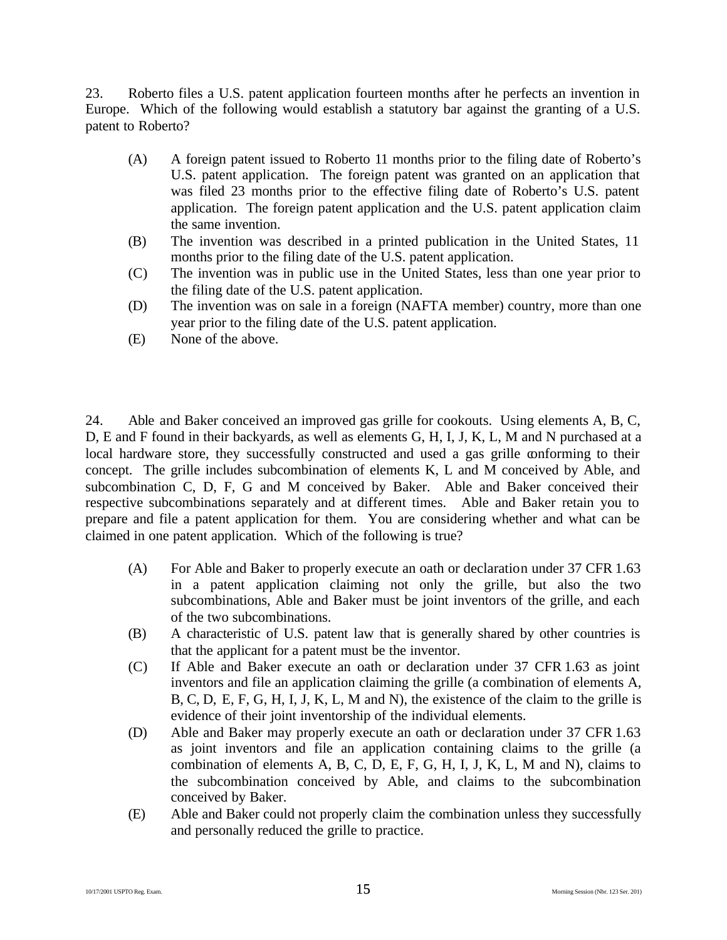23. Roberto files a U.S. patent application fourteen months after he perfects an invention in Europe. Which of the following would establish a statutory bar against the granting of a U.S. patent to Roberto?

- (A) A foreign patent issued to Roberto 11 months prior to the filing date of Roberto's U.S. patent application. The foreign patent was granted on an application that was filed 23 months prior to the effective filing date of Roberto's U.S. patent application. The foreign patent application and the U.S. patent application claim the same invention.
- (B) The invention was described in a printed publication in the United States, 11 months prior to the filing date of the U.S. patent application.
- (C) The invention was in public use in the United States, less than one year prior to the filing date of the U.S. patent application.
- (D) The invention was on sale in a foreign (NAFTA member) country, more than one year prior to the filing date of the U.S. patent application.
- (E) None of the above.

24. Able and Baker conceived an improved gas grille for cookouts. Using elements A, B, C, D, E and F found in their backyards, as well as elements G, H, I, J, K, L, M and N purchased at a local hardware store, they successfully constructed and used a gas grille conforming to their concept. The grille includes subcombination of elements K, L and M conceived by Able, and subcombination C, D, F, G and M conceived by Baker. Able and Baker conceived their respective subcombinations separately and at different times. Able and Baker retain you to prepare and file a patent application for them. You are considering whether and what can be claimed in one patent application. Which of the following is true?

- (A) For Able and Baker to properly execute an oath or declaration under 37 CFR 1.63 in a patent application claiming not only the grille, but also the two subcombinations, Able and Baker must be joint inventors of the grille, and each of the two subcombinations.
- (B) A characteristic of U.S. patent law that is generally shared by other countries is that the applicant for a patent must be the inventor.
- (C) If Able and Baker execute an oath or declaration under 37 CFR 1.63 as joint inventors and file an application claiming the grille (a combination of elements A, B, C, D, E, F, G, H, I, J, K, L, M and N), the existence of the claim to the grille is evidence of their joint inventorship of the individual elements.
- (D) Able and Baker may properly execute an oath or declaration under 37 CFR 1.63 as joint inventors and file an application containing claims to the grille (a combination of elements A, B, C, D, E, F, G, H, I, J, K, L, M and N), claims to the subcombination conceived by Able, and claims to the subcombination conceived by Baker.
- (E) Able and Baker could not properly claim the combination unless they successfully and personally reduced the grille to practice.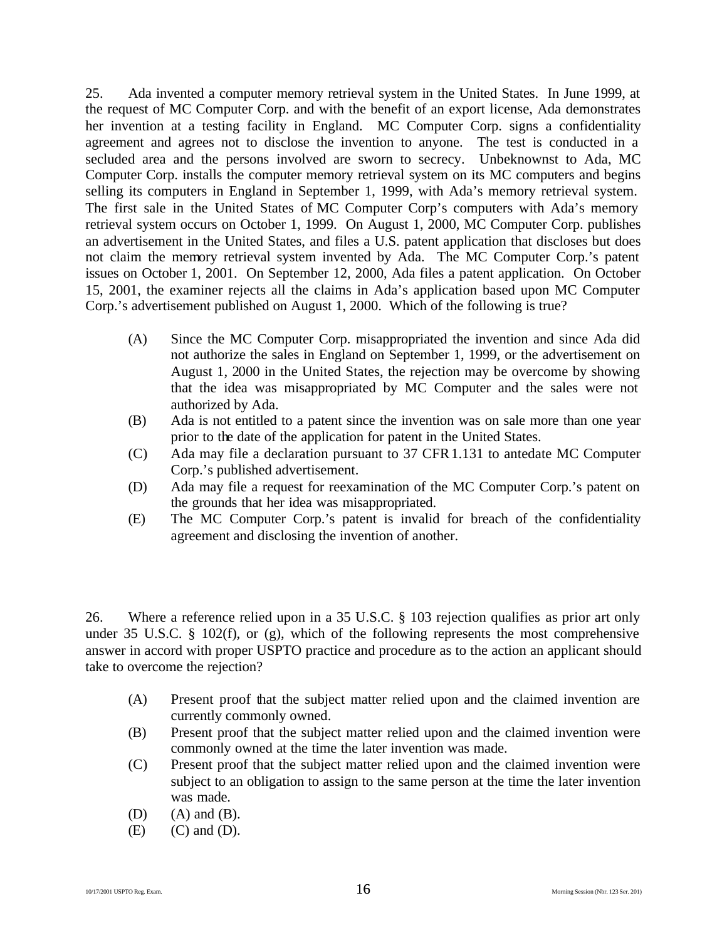25. Ada invented a computer memory retrieval system in the United States. In June 1999, at the request of MC Computer Corp. and with the benefit of an export license, Ada demonstrates her invention at a testing facility in England. MC Computer Corp. signs a confidentiality agreement and agrees not to disclose the invention to anyone. The test is conducted in a secluded area and the persons involved are sworn to secrecy. Unbeknownst to Ada, MC Computer Corp. installs the computer memory retrieval system on its MC computers and begins selling its computers in England in September 1, 1999, with Ada's memory retrieval system. The first sale in the United States of MC Computer Corp's computers with Ada's memory retrieval system occurs on October 1, 1999. On August 1, 2000, MC Computer Corp. publishes an advertisement in the United States, and files a U.S. patent application that discloses but does not claim the memory retrieval system invented by Ada. The MC Computer Corp.'s patent issues on October 1, 2001. On September 12, 2000, Ada files a patent application. On October 15, 2001, the examiner rejects all the claims in Ada's application based upon MC Computer Corp.'s advertisement published on August 1, 2000. Which of the following is true?

- (A) Since the MC Computer Corp. misappropriated the invention and since Ada did not authorize the sales in England on September 1, 1999, or the advertisement on August 1, 2000 in the United States, the rejection may be overcome by showing that the idea was misappropriated by MC Computer and the sales were not authorized by Ada.
- (B) Ada is not entitled to a patent since the invention was on sale more than one year prior to the date of the application for patent in the United States.
- (C) Ada may file a declaration pursuant to 37 CFR1.131 to antedate MC Computer Corp.'s published advertisement.
- (D) Ada may file a request for reexamination of the MC Computer Corp.'s patent on the grounds that her idea was misappropriated.
- (E) The MC Computer Corp.'s patent is invalid for breach of the confidentiality agreement and disclosing the invention of another.

26. Where a reference relied upon in a 35 U.S.C. § 103 rejection qualifies as prior art only under 35 U.S.C. § 102(f), or (g), which of the following represents the most comprehensive answer in accord with proper USPTO practice and procedure as to the action an applicant should take to overcome the rejection?

- (A) Present proof that the subject matter relied upon and the claimed invention are currently commonly owned.
- (B) Present proof that the subject matter relied upon and the claimed invention were commonly owned at the time the later invention was made.
- (C) Present proof that the subject matter relied upon and the claimed invention were subject to an obligation to assign to the same person at the time the later invention was made.
- $(D)$   $(A)$  and  $(B)$ .
- $(E)$   $(C)$  and  $(D)$ .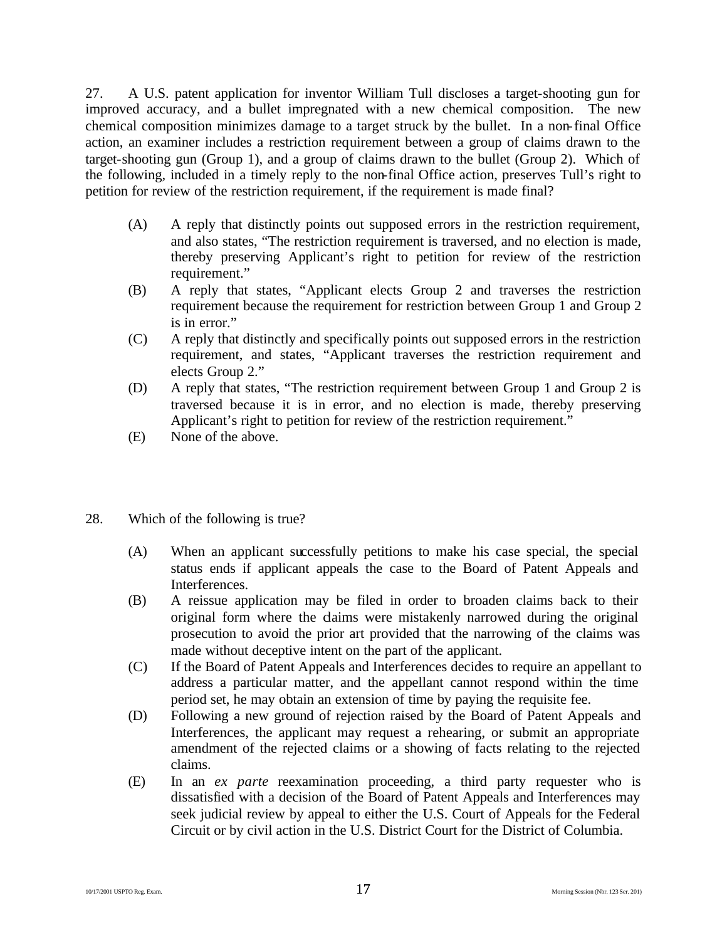27. A U.S. patent application for inventor William Tull discloses a target-shooting gun for improved accuracy, and a bullet impregnated with a new chemical composition. The new chemical composition minimizes damage to a target struck by the bullet. In a non-final Office action, an examiner includes a restriction requirement between a group of claims drawn to the target-shooting gun (Group 1), and a group of claims drawn to the bullet (Group 2). Which of the following, included in a timely reply to the non-final Office action, preserves Tull's right to petition for review of the restriction requirement, if the requirement is made final?

- (A) A reply that distinctly points out supposed errors in the restriction requirement, and also states, "The restriction requirement is traversed, and no election is made, thereby preserving Applicant's right to petition for review of the restriction requirement."
- (B) A reply that states, "Applicant elects Group 2 and traverses the restriction requirement because the requirement for restriction between Group 1 and Group 2 is in error."
- (C) A reply that distinctly and specifically points out supposed errors in the restriction requirement, and states, "Applicant traverses the restriction requirement and elects Group 2."
- (D) A reply that states, "The restriction requirement between Group 1 and Group 2 is traversed because it is in error, and no election is made, thereby preserving Applicant's right to petition for review of the restriction requirement."
- (E) None of the above.
- 28. Which of the following is true?
	- (A) When an applicant successfully petitions to make his case special, the special status ends if applicant appeals the case to the Board of Patent Appeals and Interferences.
	- (B) A reissue application may be filed in order to broaden claims back to their original form where the claims were mistakenly narrowed during the original prosecution to avoid the prior art provided that the narrowing of the claims was made without deceptive intent on the part of the applicant.
	- (C) If the Board of Patent Appeals and Interferences decides to require an appellant to address a particular matter, and the appellant cannot respond within the time period set, he may obtain an extension of time by paying the requisite fee.
	- (D) Following a new ground of rejection raised by the Board of Patent Appeals and Interferences, the applicant may request a rehearing, or submit an appropriate amendment of the rejected claims or a showing of facts relating to the rejected claims.
	- (E) In an *ex parte* reexamination proceeding, a third party requester who is dissatisfied with a decision of the Board of Patent Appeals and Interferences may seek judicial review by appeal to either the U.S. Court of Appeals for the Federal Circuit or by civil action in the U.S. District Court for the District of Columbia.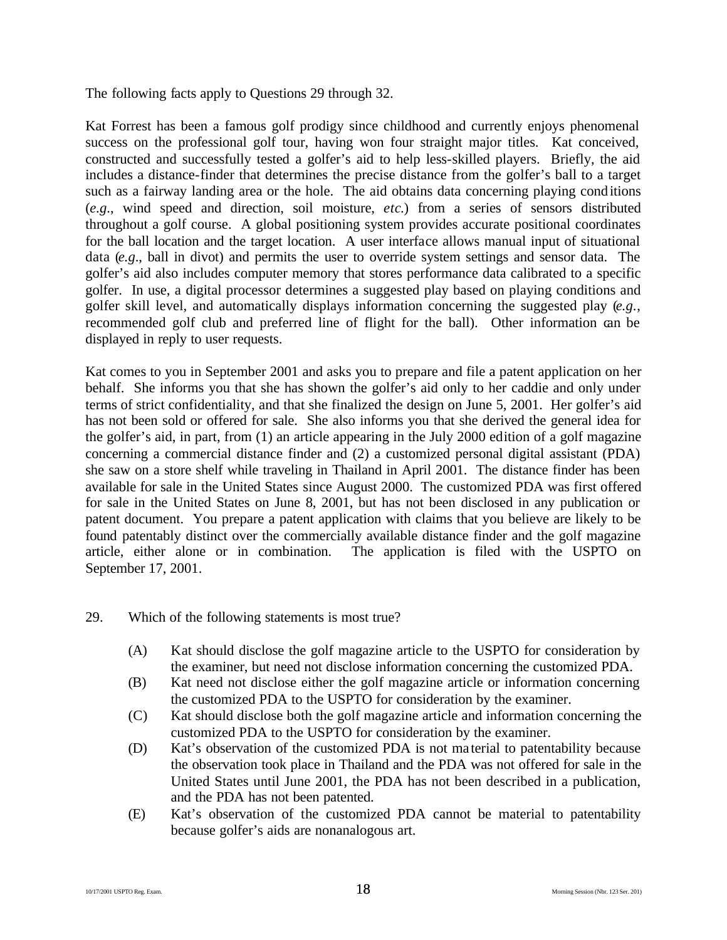The following facts apply to Questions 29 through 32.

Kat Forrest has been a famous golf prodigy since childhood and currently enjoys phenomenal success on the professional golf tour, having won four straight major titles. Kat conceived, constructed and successfully tested a golfer's aid to help less-skilled players. Briefly, the aid includes a distance-finder that determines the precise distance from the golfer's ball to a target such as a fairway landing area or the hole. The aid obtains data concerning playing conditions (*e.g*., wind speed and direction, soil moisture, *etc*.) from a series of sensors distributed throughout a golf course. A global positioning system provides accurate positional coordinates for the ball location and the target location. A user interface allows manual input of situational data (*e.g*., ball in divot) and permits the user to override system settings and sensor data. The golfer's aid also includes computer memory that stores performance data calibrated to a specific golfer. In use, a digital processor determines a suggested play based on playing conditions and golfer skill level, and automatically displays information concerning the suggested play (*e.g*., recommended golf club and preferred line of flight for the ball). Other information can be displayed in reply to user requests.

Kat comes to you in September 2001 and asks you to prepare and file a patent application on her behalf. She informs you that she has shown the golfer's aid only to her caddie and only under terms of strict confidentiality, and that she finalized the design on June 5, 2001. Her golfer's aid has not been sold or offered for sale. She also informs you that she derived the general idea for the golfer's aid, in part, from (1) an article appearing in the July 2000 edition of a golf magazine concerning a commercial distance finder and (2) a customized personal digital assistant (PDA) she saw on a store shelf while traveling in Thailand in April 2001. The distance finder has been available for sale in the United States since August 2000. The customized PDA was first offered for sale in the United States on June 8, 2001, but has not been disclosed in any publication or patent document. You prepare a patent application with claims that you believe are likely to be found patentably distinct over the commercially available distance finder and the golf magazine article, either alone or in combination. The application is filed with the USPTO on September 17, 2001.

- 29. Which of the following statements is most true?
	- (A) Kat should disclose the golf magazine article to the USPTO for consideration by the examiner, but need not disclose information concerning the customized PDA.
	- (B) Kat need not disclose either the golf magazine article or information concerning the customized PDA to the USPTO for consideration by the examiner.
	- (C) Kat should disclose both the golf magazine article and information concerning the customized PDA to the USPTO for consideration by the examiner.
	- (D) Kat's observation of the customized PDA is not ma terial to patentability because the observation took place in Thailand and the PDA was not offered for sale in the United States until June 2001, the PDA has not been described in a publication, and the PDA has not been patented.
	- (E) Kat's observation of the customized PDA cannot be material to patentability because golfer's aids are nonanalogous art.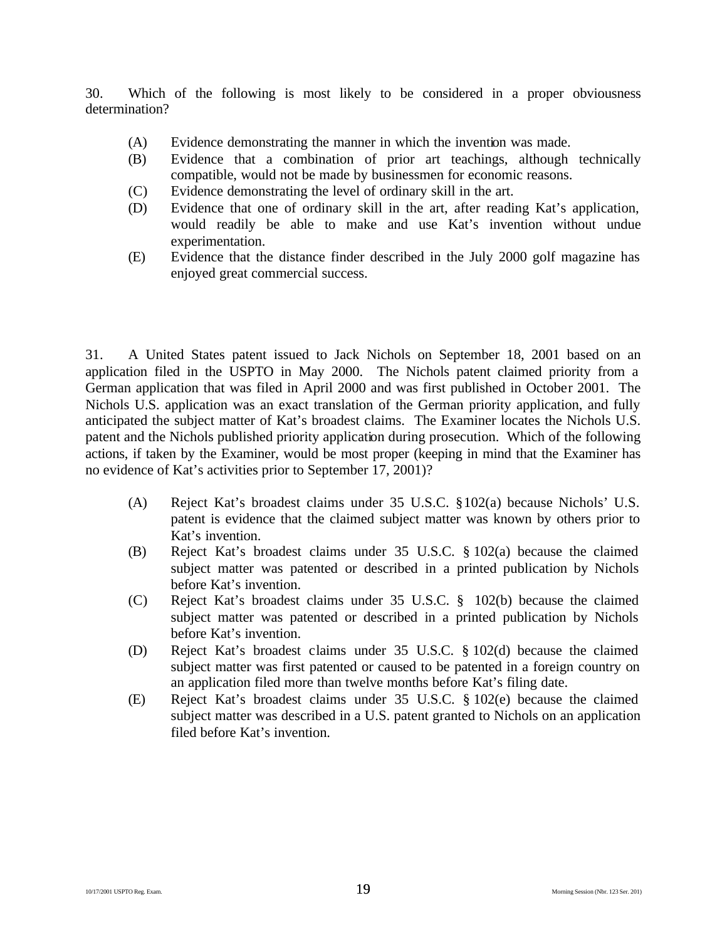30. Which of the following is most likely to be considered in a proper obviousness determination?

- (A) Evidence demonstrating the manner in which the invention was made.
- (B) Evidence that a combination of prior art teachings, although technically compatible, would not be made by businessmen for economic reasons.
- (C) Evidence demonstrating the level of ordinary skill in the art.
- (D) Evidence that one of ordinary skill in the art, after reading Kat's application, would readily be able to make and use Kat's invention without undue experimentation.
- (E) Evidence that the distance finder described in the July 2000 golf magazine has enjoyed great commercial success.

31. A United States patent issued to Jack Nichols on September 18, 2001 based on an application filed in the USPTO in May 2000. The Nichols patent claimed priority from a German application that was filed in April 2000 and was first published in October 2001. The Nichols U.S. application was an exact translation of the German priority application, and fully anticipated the subject matter of Kat's broadest claims. The Examiner locates the Nichols U.S. patent and the Nichols published priority application during prosecution. Which of the following actions, if taken by the Examiner, would be most proper (keeping in mind that the Examiner has no evidence of Kat's activities prior to September 17, 2001)?

- (A) Reject Kat's broadest claims under 35 U.S.C. §102(a) because Nichols' U.S. patent is evidence that the claimed subject matter was known by others prior to Kat's invention.
- (B) Reject Kat's broadest claims under 35 U.S.C. § 102(a) because the claimed subject matter was patented or described in a printed publication by Nichols before Kat's invention.
- (C) Reject Kat's broadest claims under 35 U.S.C. § 102(b) because the claimed subject matter was patented or described in a printed publication by Nichols before Kat's invention.
- (D) Reject Kat's broadest claims under 35 U.S.C. § 102(d) because the claimed subject matter was first patented or caused to be patented in a foreign country on an application filed more than twelve months before Kat's filing date.
- (E) Reject Kat's broadest claims under 35 U.S.C. § 102(e) because the claimed subject matter was described in a U.S. patent granted to Nichols on an application filed before Kat's invention.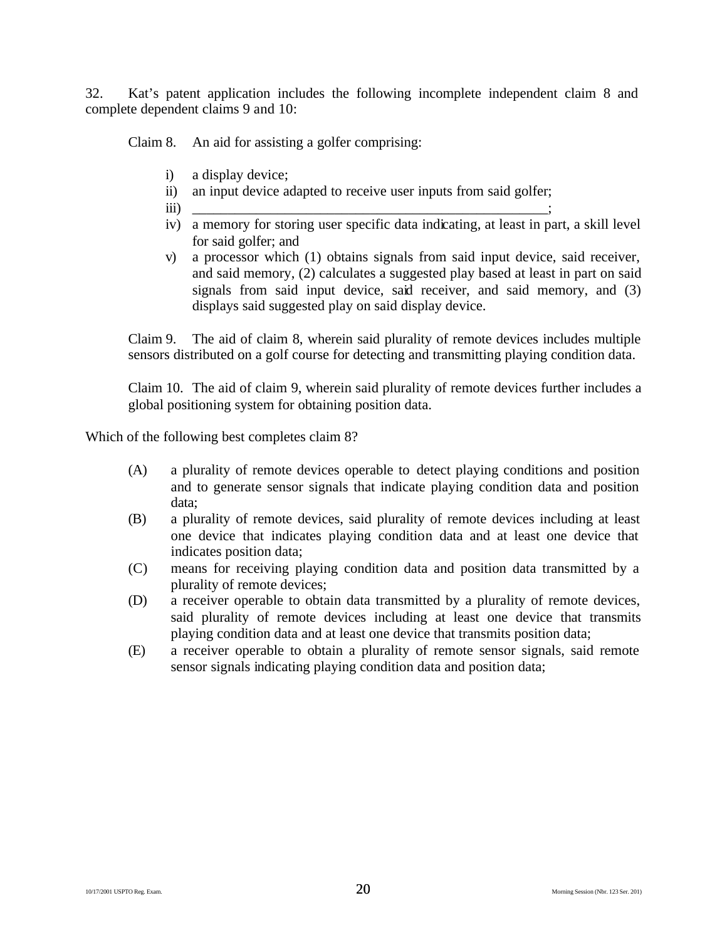32. Kat's patent application includes the following incomplete independent claim 8 and complete dependent claims 9 and 10:

Claim 8. An aid for assisting a golfer comprising:

- i) a display device;
- ii) an input device adapted to receive user inputs from said golfer;
- iii) \_\_\_\_\_\_\_\_\_\_\_\_\_\_\_\_\_\_\_\_\_\_\_\_\_\_\_\_\_\_\_\_\_\_\_\_\_\_\_\_\_\_\_\_\_\_\_\_\_\_;
- iv) a memory for storing user specific data indicating, at least in part, a skill level for said golfer; and
- v) a processor which (1) obtains signals from said input device, said receiver, and said memory, (2) calculates a suggested play based at least in part on said signals from said input device, said receiver, and said memory, and (3) displays said suggested play on said display device.

Claim 9. The aid of claim 8, wherein said plurality of remote devices includes multiple sensors distributed on a golf course for detecting and transmitting playing condition data.

Claim 10. The aid of claim 9, wherein said plurality of remote devices further includes a global positioning system for obtaining position data.

Which of the following best completes claim 8?

- (A) a plurality of remote devices operable to detect playing conditions and position and to generate sensor signals that indicate playing condition data and position data;
- (B) a plurality of remote devices, said plurality of remote devices including at least one device that indicates playing condition data and at least one device that indicates position data;
- (C) means for receiving playing condition data and position data transmitted by a plurality of remote devices;
- (D) a receiver operable to obtain data transmitted by a plurality of remote devices, said plurality of remote devices including at least one device that transmits playing condition data and at least one device that transmits position data;
- (E) a receiver operable to obtain a plurality of remote sensor signals, said remote sensor signals indicating playing condition data and position data;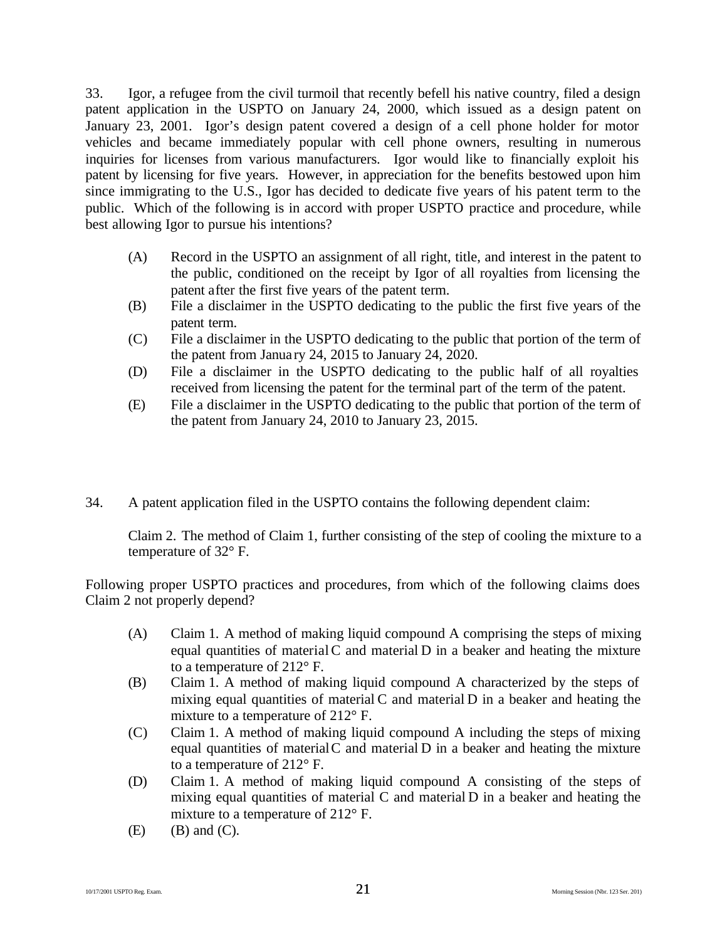33. Igor, a refugee from the civil turmoil that recently befell his native country, filed a design patent application in the USPTO on January 24, 2000, which issued as a design patent on January 23, 2001. Igor's design patent covered a design of a cell phone holder for motor vehicles and became immediately popular with cell phone owners, resulting in numerous inquiries for licenses from various manufacturers. Igor would like to financially exploit his patent by licensing for five years. However, in appreciation for the benefits bestowed upon him since immigrating to the U.S., Igor has decided to dedicate five years of his patent term to the public. Which of the following is in accord with proper USPTO practice and procedure, while best allowing Igor to pursue his intentions?

- (A) Record in the USPTO an assignment of all right, title, and interest in the patent to the public, conditioned on the receipt by Igor of all royalties from licensing the patent after the first five years of the patent term.
- (B) File a disclaimer in the USPTO dedicating to the public the first five years of the patent term.
- (C) File a disclaimer in the USPTO dedicating to the public that portion of the term of the patent from Janua ry 24, 2015 to January 24, 2020.
- (D) File a disclaimer in the USPTO dedicating to the public half of all royalties received from licensing the patent for the terminal part of the term of the patent.
- (E) File a disclaimer in the USPTO dedicating to the public that portion of the term of the patent from January 24, 2010 to January 23, 2015.
- 34. A patent application filed in the USPTO contains the following dependent claim:

Claim 2. The method of Claim 1, further consisting of the step of cooling the mixture to a temperature of 32° F.

Following proper USPTO practices and procedures, from which of the following claims does Claim 2 not properly depend?

- (A) Claim 1. A method of making liquid compound A comprising the steps of mixing equal quantities of material  $C$  and material  $D$  in a beaker and heating the mixture to a temperature of 212° F.
- (B) Claim 1. A method of making liquid compound A characterized by the steps of mixing equal quantities of material C and material D in a beaker and heating the mixture to a temperature of 212° F.
- (C) Claim 1. A method of making liquid compound A including the steps of mixing equal quantities of material  $C$  and material  $D$  in a beaker and heating the mixture to a temperature of 212° F.
- (D) Claim 1. A method of making liquid compound A consisting of the steps of mixing equal quantities of material C and material D in a beaker and heating the mixture to a temperature of 212° F.
- $(E)$  (B) and  $(C)$ .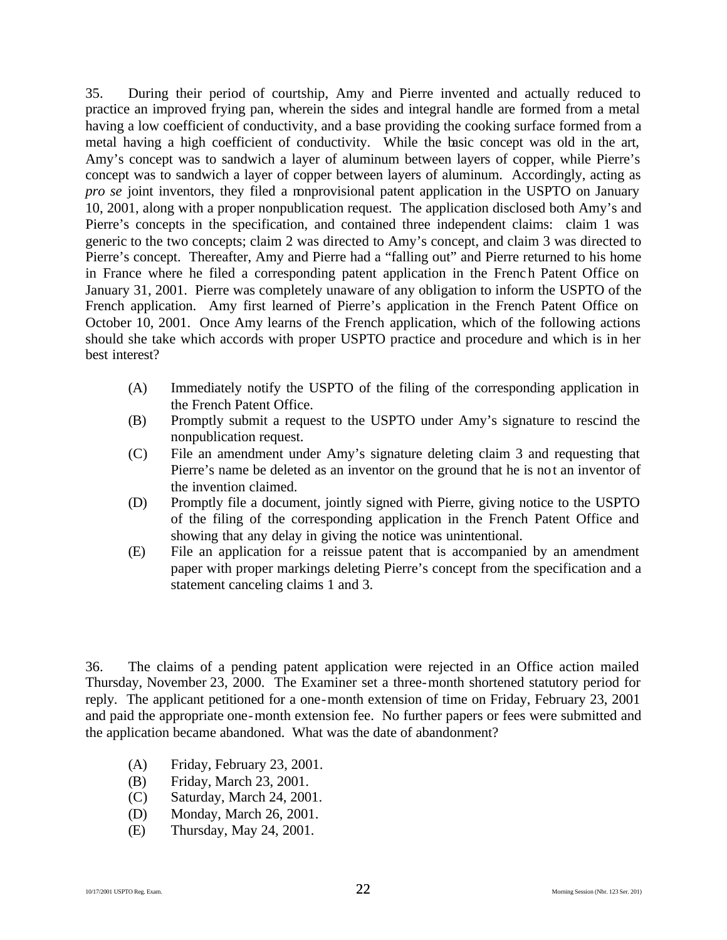35. During their period of courtship, Amy and Pierre invented and actually reduced to practice an improved frying pan, wherein the sides and integral handle are formed from a metal having a low coefficient of conductivity, and a base providing the cooking surface formed from a metal having a high coefficient of conductivity. While the basic concept was old in the art, Amy's concept was to sandwich a layer of aluminum between layers of copper, while Pierre's concept was to sandwich a layer of copper between layers of aluminum. Accordingly, acting as *pro se* joint inventors, they filed a monprovisional patent application in the USPTO on January 10, 2001, along with a proper nonpublication request. The application disclosed both Amy's and Pierre's concepts in the specification, and contained three independent claims: claim 1 was generic to the two concepts; claim 2 was directed to Amy's concept, and claim 3 was directed to Pierre's concept. Thereafter, Amy and Pierre had a "falling out" and Pierre returned to his home in France where he filed a corresponding patent application in the French Patent Office on January 31, 2001. Pierre was completely unaware of any obligation to inform the USPTO of the French application. Amy first learned of Pierre's application in the French Patent Office on October 10, 2001. Once Amy learns of the French application, which of the following actions should she take which accords with proper USPTO practice and procedure and which is in her best interest?

- (A) Immediately notify the USPTO of the filing of the corresponding application in the French Patent Office.
- (B) Promptly submit a request to the USPTO under Amy's signature to rescind the nonpublication request.
- (C) File an amendment under Amy's signature deleting claim 3 and requesting that Pierre's name be deleted as an inventor on the ground that he is not an inventor of the invention claimed.
- (D) Promptly file a document, jointly signed with Pierre, giving notice to the USPTO of the filing of the corresponding application in the French Patent Office and showing that any delay in giving the notice was unintentional.
- (E) File an application for a reissue patent that is accompanied by an amendment paper with proper markings deleting Pierre's concept from the specification and a statement canceling claims 1 and 3.

36. The claims of a pending patent application were rejected in an Office action mailed Thursday, November 23, 2000. The Examiner set a three-month shortened statutory period for reply. The applicant petitioned for a one-month extension of time on Friday, February 23, 2001 and paid the appropriate one-month extension fee. No further papers or fees were submitted and the application became abandoned. What was the date of abandonment?

- (A) Friday, February 23, 2001.
- (B) Friday, March 23, 2001.
- (C) Saturday, March 24, 2001.
- (D) Monday, March 26, 2001.
- (E) Thursday, May 24, 2001.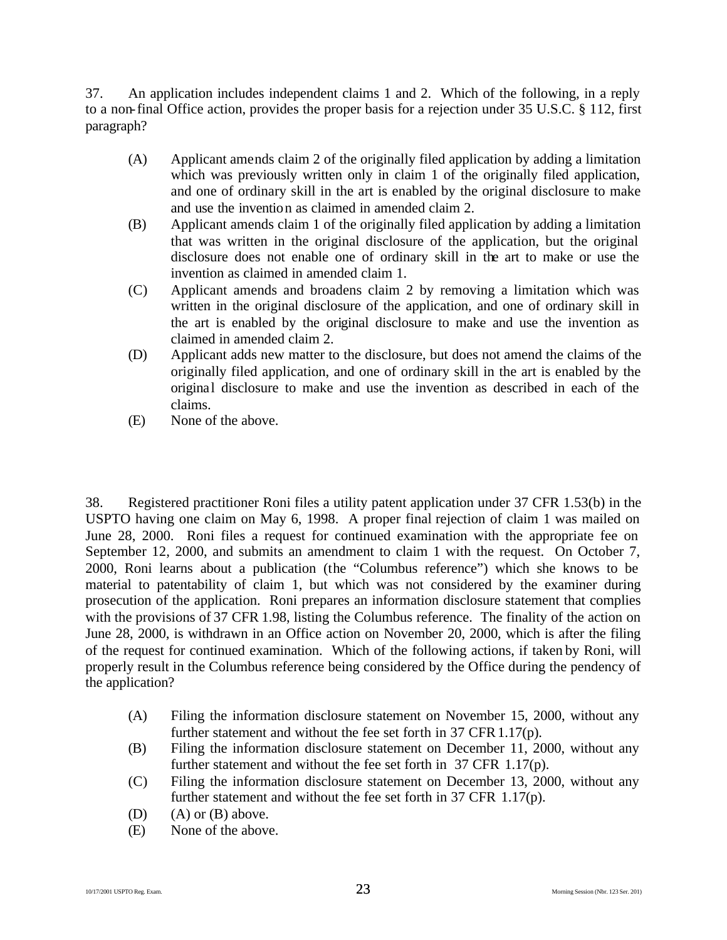37. An application includes independent claims 1 and 2. Which of the following, in a reply to a non-final Office action, provides the proper basis for a rejection under 35 U.S.C. § 112, first paragraph?

- (A) Applicant amends claim 2 of the originally filed application by adding a limitation which was previously written only in claim 1 of the originally filed application, and one of ordinary skill in the art is enabled by the original disclosure to make and use the invention as claimed in amended claim 2.
- (B) Applicant amends claim 1 of the originally filed application by adding a limitation that was written in the original disclosure of the application, but the original disclosure does not enable one of ordinary skill in the art to make or use the invention as claimed in amended claim 1.
- (C) Applicant amends and broadens claim 2 by removing a limitation which was written in the original disclosure of the application, and one of ordinary skill in the art is enabled by the original disclosure to make and use the invention as claimed in amended claim 2.
- (D) Applicant adds new matter to the disclosure, but does not amend the claims of the originally filed application, and one of ordinary skill in the art is enabled by the original disclosure to make and use the invention as described in each of the claims.
- (E) None of the above.

38. Registered practitioner Roni files a utility patent application under 37 CFR 1.53(b) in the USPTO having one claim on May 6, 1998. A proper final rejection of claim 1 was mailed on June 28, 2000. Roni files a request for continued examination with the appropriate fee on September 12, 2000, and submits an amendment to claim 1 with the request. On October 7, 2000, Roni learns about a publication (the "Columbus reference") which she knows to be material to patentability of claim 1, but which was not considered by the examiner during prosecution of the application. Roni prepares an information disclosure statement that complies with the provisions of 37 CFR 1.98, listing the Columbus reference. The finality of the action on June 28, 2000, is withdrawn in an Office action on November 20, 2000, which is after the filing of the request for continued examination. Which of the following actions, if taken by Roni, will properly result in the Columbus reference being considered by the Office during the pendency of the application?

- (A) Filing the information disclosure statement on November 15, 2000, without any further statement and without the fee set forth in 37 CFR 1.17(p).
- (B) Filing the information disclosure statement on December 11, 2000, without any further statement and without the fee set forth in 37 CFR 1.17(p).
- (C) Filing the information disclosure statement on December 13, 2000, without any further statement and without the fee set forth in 37 CFR 1.17(p).
- $(D)$   $(A)$  or  $(B)$  above.
- (E) None of the above.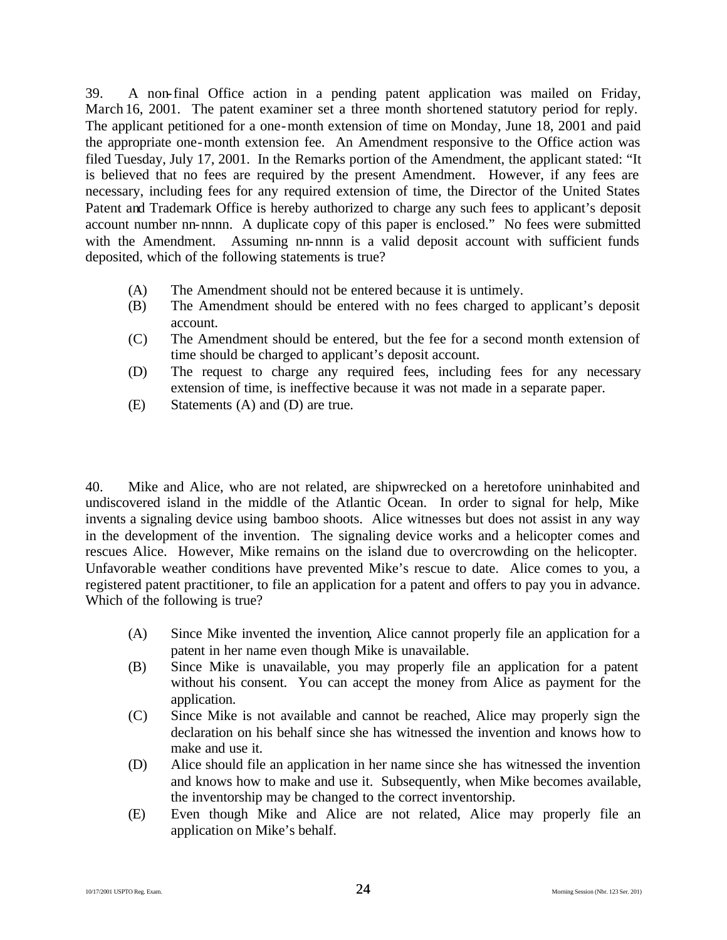39. A non-final Office action in a pending patent application was mailed on Friday, March 16, 2001. The patent examiner set a three month shortened statutory period for reply. The applicant petitioned for a one-month extension of time on Monday, June 18, 2001 and paid the appropriate one-month extension fee. An Amendment responsive to the Office action was filed Tuesday, July 17, 2001. In the Remarks portion of the Amendment, the applicant stated: "It is believed that no fees are required by the present Amendment. However, if any fees are necessary, including fees for any required extension of time, the Director of the United States Patent and Trademark Office is hereby authorized to charge any such fees to applicant's deposit account number nn-nnnn. A duplicate copy of this paper is enclosed." No fees were submitted with the Amendment. Assuming nn-nnnn is a valid deposit account with sufficient funds deposited, which of the following statements is true?

- (A) The Amendment should not be entered because it is untimely.
- (B) The Amendment should be entered with no fees charged to applicant's deposit account.
- (C) The Amendment should be entered, but the fee for a second month extension of time should be charged to applicant's deposit account.
- (D) The request to charge any required fees, including fees for any necessary extension of time, is ineffective because it was not made in a separate paper.
- (E) Statements (A) and (D) are true.

40. Mike and Alice, who are not related, are shipwrecked on a heretofore uninhabited and undiscovered island in the middle of the Atlantic Ocean. In order to signal for help, Mike invents a signaling device using bamboo shoots. Alice witnesses but does not assist in any way in the development of the invention. The signaling device works and a helicopter comes and rescues Alice. However, Mike remains on the island due to overcrowding on the helicopter. Unfavorable weather conditions have prevented Mike's rescue to date. Alice comes to you, a registered patent practitioner, to file an application for a patent and offers to pay you in advance. Which of the following is true?

- (A) Since Mike invented the invention, Alice cannot properly file an application for a patent in her name even though Mike is unavailable.
- (B) Since Mike is unavailable, you may properly file an application for a patent without his consent. You can accept the money from Alice as payment for the application.
- (C) Since Mike is not available and cannot be reached, Alice may properly sign the declaration on his behalf since she has witnessed the invention and knows how to make and use it.
- (D) Alice should file an application in her name since she has witnessed the invention and knows how to make and use it. Subsequently, when Mike becomes available, the inventorship may be changed to the correct inventorship.
- (E) Even though Mike and Alice are not related, Alice may properly file an application on Mike's behalf.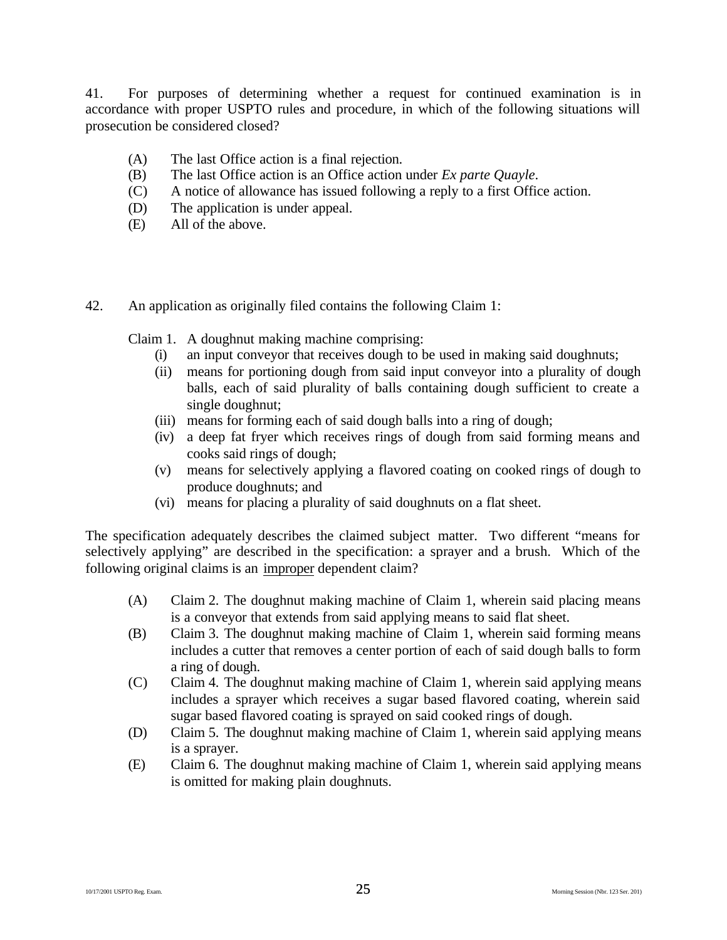41. For purposes of determining whether a request for continued examination is in accordance with proper USPTO rules and procedure, in which of the following situations will prosecution be considered closed?

- (A) The last Office action is a final rejection.
- (B) The last Office action is an Office action under *Ex parte Quayle*.
- (C) A notice of allowance has issued following a reply to a first Office action.
- (D) The application is under appeal.
- (E) All of the above.
- 42. An application as originally filed contains the following Claim 1:
	- Claim 1. A doughnut making machine comprising:
		- (i) an input conveyor that receives dough to be used in making said doughnuts;
		- (ii) means for portioning dough from said input conveyor into a plurality of dough balls, each of said plurality of balls containing dough sufficient to create a single doughnut;
		- (iii) means for forming each of said dough balls into a ring of dough;
		- (iv) a deep fat fryer which receives rings of dough from said forming means and cooks said rings of dough;
		- (v) means for selectively applying a flavored coating on cooked rings of dough to produce doughnuts; and
		- (vi) means for placing a plurality of said doughnuts on a flat sheet.

The specification adequately describes the claimed subject matter. Two different "means for selectively applying" are described in the specification: a sprayer and a brush. Which of the following original claims is an improper dependent claim?

- (A) Claim 2. The doughnut making machine of Claim 1, wherein said placing means is a conveyor that extends from said applying means to said flat sheet.
- (B) Claim 3. The doughnut making machine of Claim 1, wherein said forming means includes a cutter that removes a center portion of each of said dough balls to form a ring of dough.
- (C) Claim 4. The doughnut making machine of Claim 1, wherein said applying means includes a sprayer which receives a sugar based flavored coating, wherein said sugar based flavored coating is sprayed on said cooked rings of dough.
- (D) Claim 5. The doughnut making machine of Claim 1, wherein said applying means is a sprayer.
- (E) Claim 6. The doughnut making machine of Claim 1, wherein said applying means is omitted for making plain doughnuts.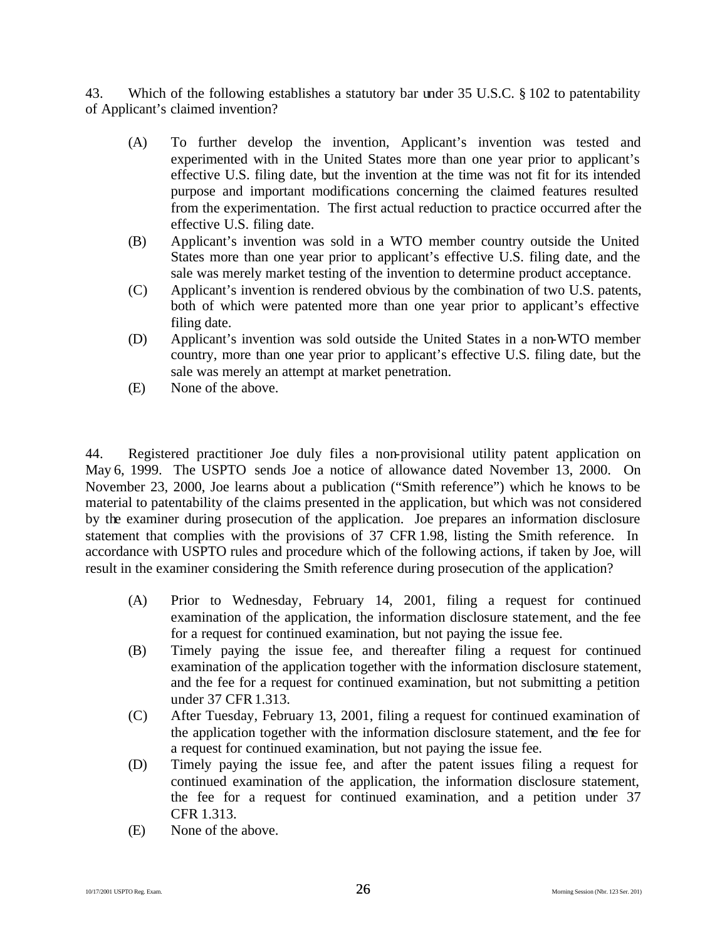43. Which of the following establishes a statutory bar under 35 U.S.C. § 102 to patentability of Applicant's claimed invention?

- (A) To further develop the invention, Applicant's invention was tested and experimented with in the United States more than one year prior to applicant's effective U.S. filing date, but the invention at the time was not fit for its intended purpose and important modifications concerning the claimed features resulted from the experimentation. The first actual reduction to practice occurred after the effective U.S. filing date.
- (B) Applicant's invention was sold in a WTO member country outside the United States more than one year prior to applicant's effective U.S. filing date, and the sale was merely market testing of the invention to determine product acceptance.
- (C) Applicant's invention is rendered obvious by the combination of two U.S. patents, both of which were patented more than one year prior to applicant's effective filing date.
- (D) Applicant's invention was sold outside the United States in a non-WTO member country, more than one year prior to applicant's effective U.S. filing date, but the sale was merely an attempt at market penetration.
- (E) None of the above.

44. Registered practitioner Joe duly files a non-provisional utility patent application on May 6, 1999. The USPTO sends Joe a notice of allowance dated November 13, 2000. On November 23, 2000, Joe learns about a publication ("Smith reference") which he knows to be material to patentability of the claims presented in the application, but which was not considered by the examiner during prosecution of the application. Joe prepares an information disclosure statement that complies with the provisions of 37 CFR 1.98, listing the Smith reference. In accordance with USPTO rules and procedure which of the following actions, if taken by Joe, will result in the examiner considering the Smith reference during prosecution of the application?

- (A) Prior to Wednesday, February 14, 2001, filing a request for continued examination of the application, the information disclosure statement, and the fee for a request for continued examination, but not paying the issue fee.
- (B) Timely paying the issue fee, and thereafter filing a request for continued examination of the application together with the information disclosure statement, and the fee for a request for continued examination, but not submitting a petition under 37 CFR 1.313.
- (C) After Tuesday, February 13, 2001, filing a request for continued examination of the application together with the information disclosure statement, and the fee for a request for continued examination, but not paying the issue fee.
- (D) Timely paying the issue fee, and after the patent issues filing a request for continued examination of the application, the information disclosure statement, the fee for a request for continued examination, and a petition under 37 CFR 1.313.
- (E) None of the above.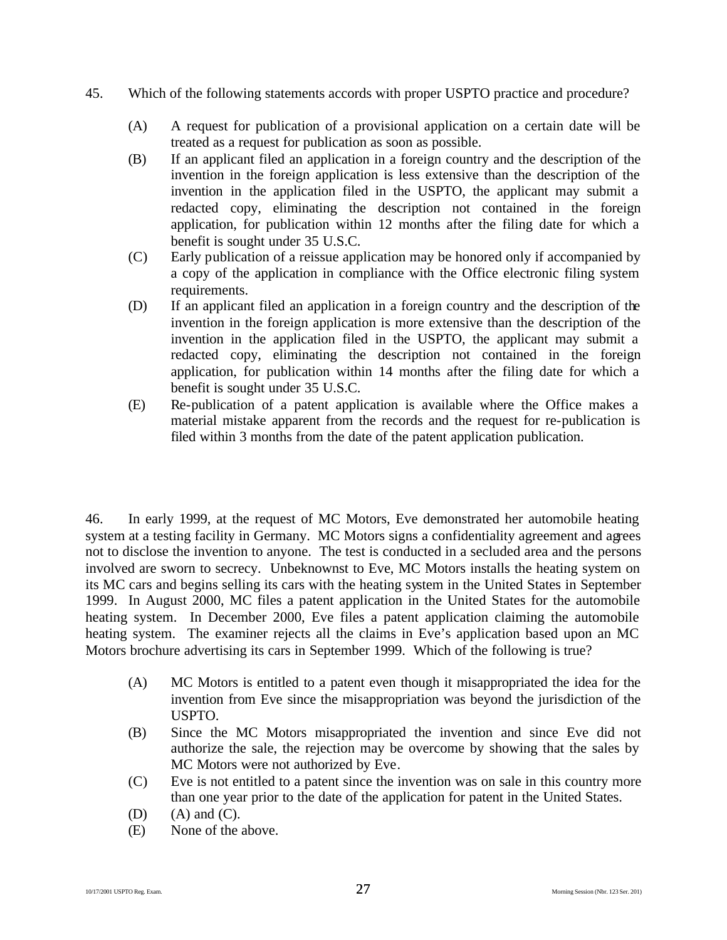- 45. Which of the following statements accords with proper USPTO practice and procedure?
	- (A) A request for publication of a provisional application on a certain date will be treated as a request for publication as soon as possible.
	- (B) If an applicant filed an application in a foreign country and the description of the invention in the foreign application is less extensive than the description of the invention in the application filed in the USPTO, the applicant may submit a redacted copy, eliminating the description not contained in the foreign application, for publication within 12 months after the filing date for which a benefit is sought under 35 U.S.C.
	- (C) Early publication of a reissue application may be honored only if accompanied by a copy of the application in compliance with the Office electronic filing system requirements.
	- (D) If an applicant filed an application in a foreign country and the description of the invention in the foreign application is more extensive than the description of the invention in the application filed in the USPTO, the applicant may submit a redacted copy, eliminating the description not contained in the foreign application, for publication within 14 months after the filing date for which a benefit is sought under 35 U.S.C.
	- (E) Re-publication of a patent application is available where the Office makes a material mistake apparent from the records and the request for re-publication is filed within 3 months from the date of the patent application publication.

46. In early 1999, at the request of MC Motors, Eve demonstrated her automobile heating system at a testing facility in Germany. MC Motors signs a confidentiality agreement and agrees not to disclose the invention to anyone. The test is conducted in a secluded area and the persons involved are sworn to secrecy. Unbeknownst to Eve, MC Motors installs the heating system on its MC cars and begins selling its cars with the heating system in the United States in September 1999. In August 2000, MC files a patent application in the United States for the automobile heating system. In December 2000, Eve files a patent application claiming the automobile heating system. The examiner rejects all the claims in Eve's application based upon an MC Motors brochure advertising its cars in September 1999. Which of the following is true?

- (A) MC Motors is entitled to a patent even though it misappropriated the idea for the invention from Eve since the misappropriation was beyond the jurisdiction of the USPTO.
- (B) Since the MC Motors misappropriated the invention and since Eve did not authorize the sale, the rejection may be overcome by showing that the sales by MC Motors were not authorized by Eve.
- (C) Eve is not entitled to a patent since the invention was on sale in this country more than one year prior to the date of the application for patent in the United States.
- $(D)$   $(A)$  and  $(C)$ .
- (E) None of the above.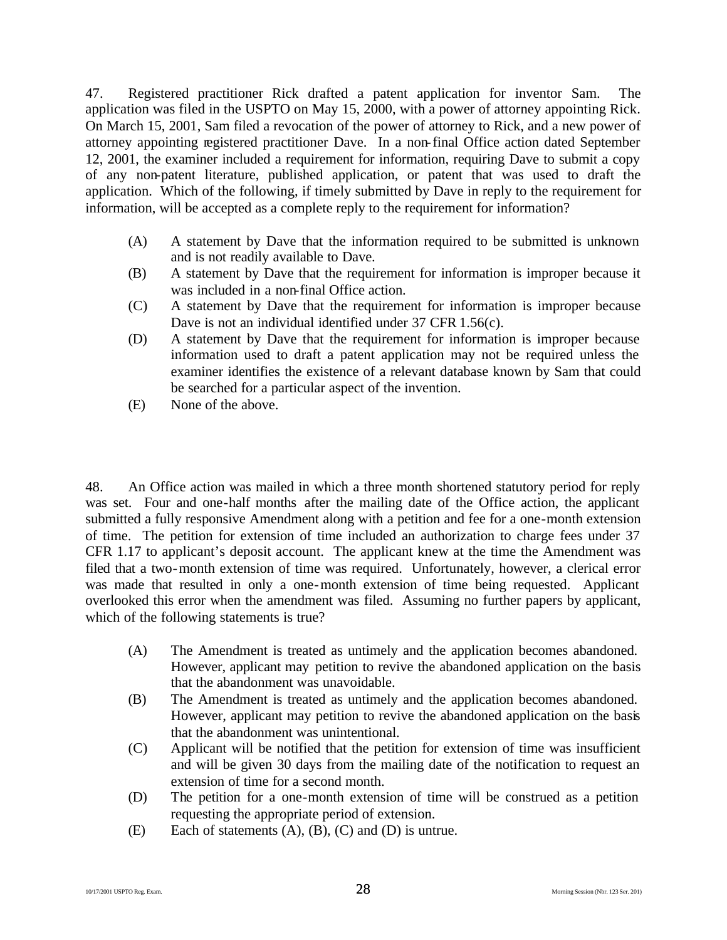47. Registered practitioner Rick drafted a patent application for inventor Sam. The application was filed in the USPTO on May 15, 2000, with a power of attorney appointing Rick. On March 15, 2001, Sam filed a revocation of the power of attorney to Rick, and a new power of attorney appointing registered practitioner Dave. In a non-final Office action dated September 12, 2001, the examiner included a requirement for information, requiring Dave to submit a copy of any non-patent literature, published application, or patent that was used to draft the application. Which of the following, if timely submitted by Dave in reply to the requirement for information, will be accepted as a complete reply to the requirement for information?

- (A) A statement by Dave that the information required to be submitted is unknown and is not readily available to Dave.
- (B) A statement by Dave that the requirement for information is improper because it was included in a non-final Office action.
- (C) A statement by Dave that the requirement for information is improper because Dave is not an individual identified under 37 CFR 1.56(c).
- (D) A statement by Dave that the requirement for information is improper because information used to draft a patent application may not be required unless the examiner identifies the existence of a relevant database known by Sam that could be searched for a particular aspect of the invention.
- (E) None of the above.

48. An Office action was mailed in which a three month shortened statutory period for reply was set. Four and one-half months after the mailing date of the Office action, the applicant submitted a fully responsive Amendment along with a petition and fee for a one-month extension of time. The petition for extension of time included an authorization to charge fees under 37 CFR 1.17 to applicant's deposit account. The applicant knew at the time the Amendment was filed that a two-month extension of time was required. Unfortunately, however, a clerical error was made that resulted in only a one-month extension of time being requested. Applicant overlooked this error when the amendment was filed. Assuming no further papers by applicant, which of the following statements is true?

- (A) The Amendment is treated as untimely and the application becomes abandoned. However, applicant may petition to revive the abandoned application on the basis that the abandonment was unavoidable.
- (B) The Amendment is treated as untimely and the application becomes abandoned. However, applicant may petition to revive the abandoned application on the basis that the abandonment was unintentional.
- (C) Applicant will be notified that the petition for extension of time was insufficient and will be given 30 days from the mailing date of the notification to request an extension of time for a second month.
- (D) The petition for a one-month extension of time will be construed as a petition requesting the appropriate period of extension.
- (E) Each of statements  $(A)$ ,  $(B)$ ,  $(C)$  and  $(D)$  is untrue.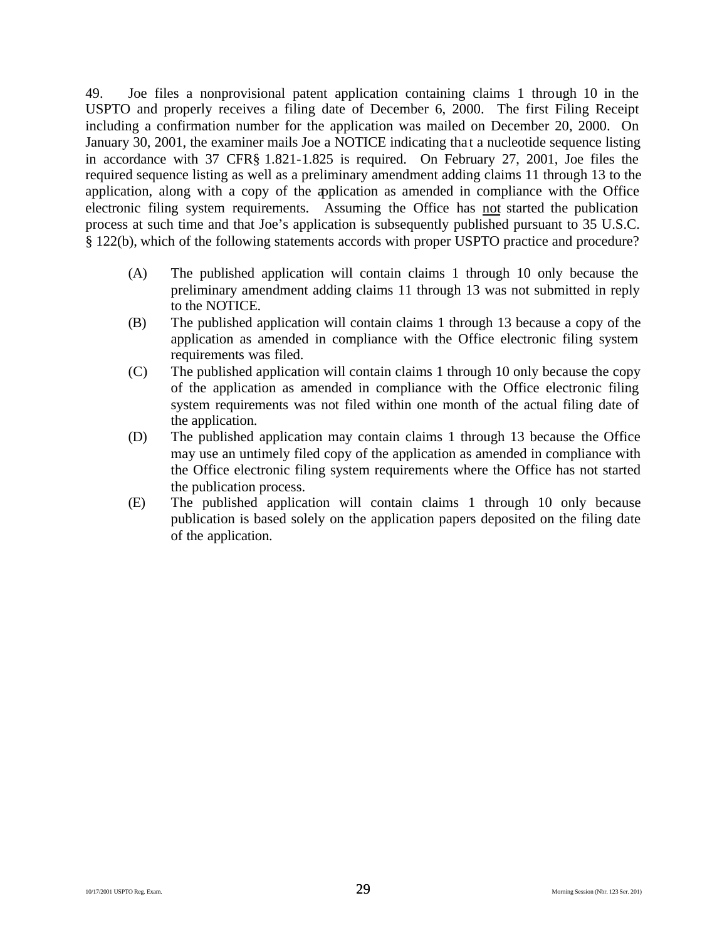49. Joe files a nonprovisional patent application containing claims 1 through 10 in the USPTO and properly receives a filing date of December 6, 2000. The first Filing Receipt including a confirmation number for the application was mailed on December 20, 2000. On January 30, 2001, the examiner mails Joe a NOTICE indicating tha t a nucleotide sequence listing in accordance with 37 CFR§ 1.821-1.825 is required. On February 27, 2001, Joe files the required sequence listing as well as a preliminary amendment adding claims 11 through 13 to the application, along with a copy of the application as amended in compliance with the Office electronic filing system requirements. Assuming the Office has not started the publication process at such time and that Joe's application is subsequently published pursuant to 35 U.S.C. § 122(b), which of the following statements accords with proper USPTO practice and procedure?

- (A) The published application will contain claims 1 through 10 only because the preliminary amendment adding claims 11 through 13 was not submitted in reply to the NOTICE.
- (B) The published application will contain claims 1 through 13 because a copy of the application as amended in compliance with the Office electronic filing system requirements was filed.
- (C) The published application will contain claims 1 through 10 only because the copy of the application as amended in compliance with the Office electronic filing system requirements was not filed within one month of the actual filing date of the application.
- (D) The published application may contain claims 1 through 13 because the Office may use an untimely filed copy of the application as amended in compliance with the Office electronic filing system requirements where the Office has not started the publication process.
- (E) The published application will contain claims 1 through 10 only because publication is based solely on the application papers deposited on the filing date of the application.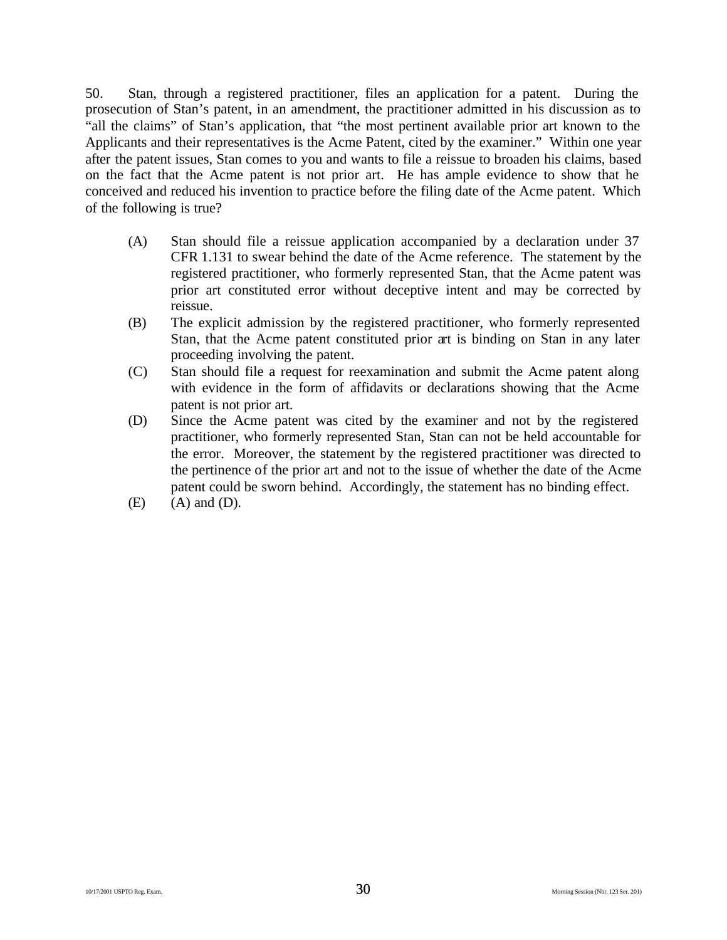50. Stan, through a registered practitioner, files an application for a patent. During the prosecution of Stan's patent, in an amendment, the practitioner admitted in his discussion as to "all the claims" of Stan's application, that "the most pertinent available prior art known to the Applicants and their representatives is the Acme Patent, cited by the examiner." Within one year after the patent issues, Stan comes to you and wants to file a reissue to broaden his claims, based on the fact that the Acme patent is not prior art. He has ample evidence to show that he conceived and reduced his invention to practice before the filing date of the Acme patent. Which of the following is true?

- (A) Stan should file a reissue application accompanied by a declaration under 37 CFR 1.131 to swear behind the date of the Acme reference. The statement by the registered practitioner, who formerly represented Stan, that the Acme patent was prior art constituted error without deceptive intent and may be corrected by reissue.
- (B) The explicit admission by the registered practitioner, who formerly represented Stan, that the Acme patent constituted prior art is binding on Stan in any later proceeding involving the patent.
- (C) Stan should file a request for reexamination and submit the Acme patent along with evidence in the form of affidavits or declarations showing that the Acme patent is not prior art.
- (D) Since the Acme patent was cited by the examiner and not by the registered practitioner, who formerly represented Stan, Stan can not be held accountable for the error. Moreover, the statement by the registered practitioner was directed to the pertinence of the prior art and not to the issue of whether the date of the Acme patent could be sworn behind. Accordingly, the statement has no binding effect.
- $(E)$   $(A)$  and  $(D)$ .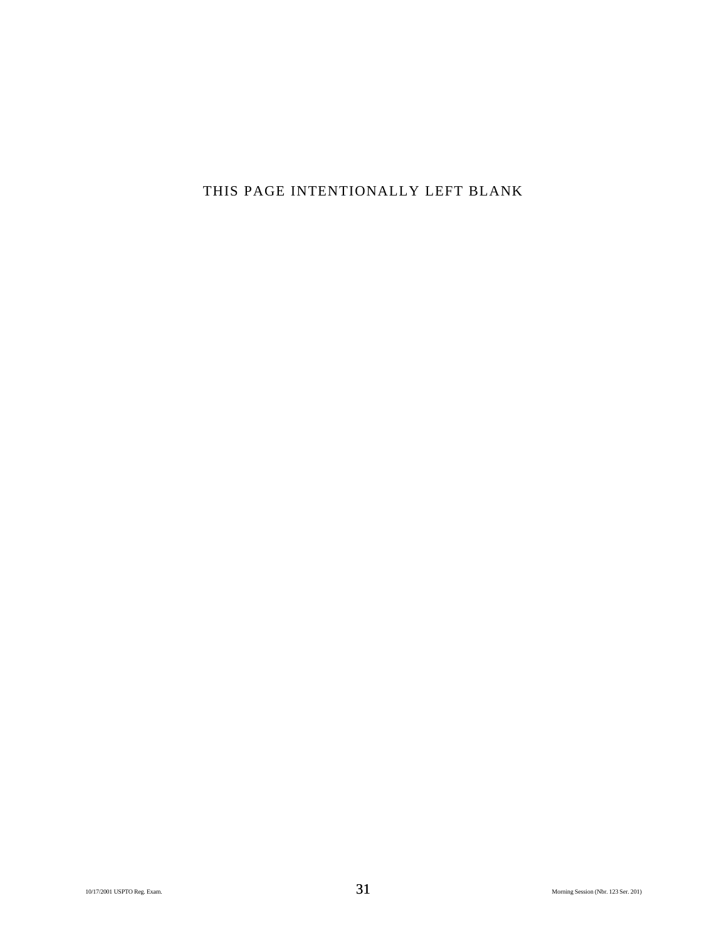THIS PAGE INTENTIONALLY LEFT BLANK